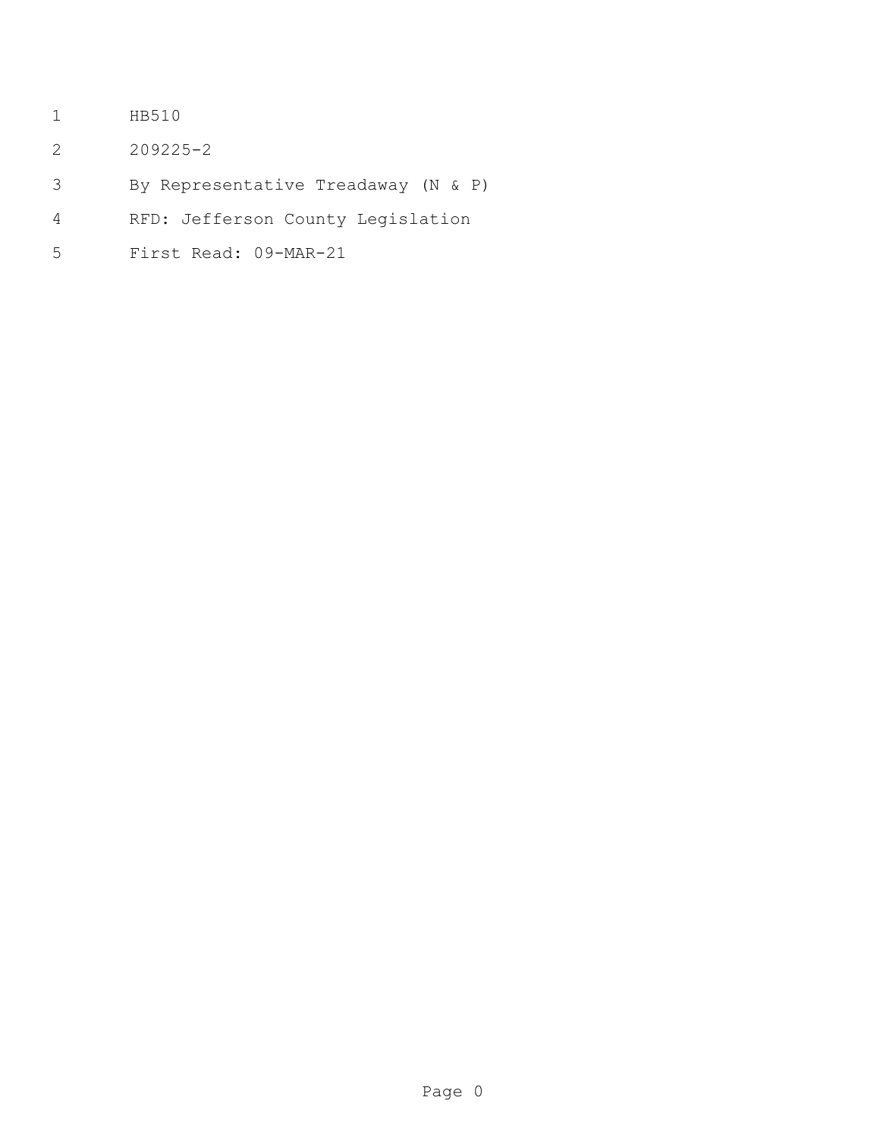- HB510
- 209225-2
- By Representative Treadaway (N & P)
- RFD: Jefferson County Legislation
- First Read: 09-MAR-21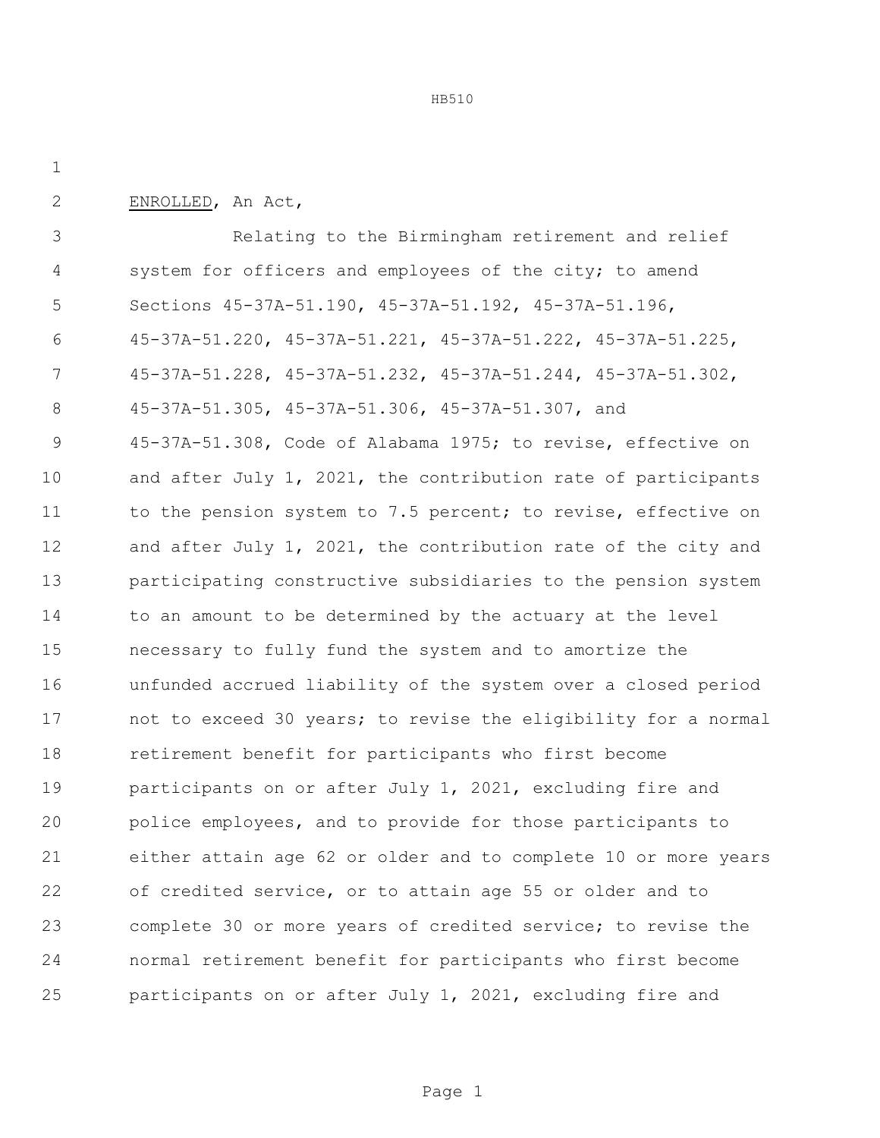ENROLLED, An Act,

 Relating to the Birmingham retirement and relief system for officers and employees of the city; to amend Sections 45-37A-51.190, 45-37A-51.192, 45-37A-51.196, 45-37A-51.220, 45-37A-51.221, 45-37A-51.222, 45-37A-51.225, 45-37A-51.228, 45-37A-51.232, 45-37A-51.244, 45-37A-51.302, 45-37A-51.305, 45-37A-51.306, 45-37A-51.307, and 45-37A-51.308, Code of Alabama 1975; to revise, effective on and after July 1, 2021, the contribution rate of participants 11 to the pension system to 7.5 percent; to revise, effective on and after July 1, 2021, the contribution rate of the city and participating constructive subsidiaries to the pension system 14 to an amount to be determined by the actuary at the level necessary to fully fund the system and to amortize the unfunded accrued liability of the system over a closed period not to exceed 30 years; to revise the eligibility for a normal retirement benefit for participants who first become participants on or after July 1, 2021, excluding fire and police employees, and to provide for those participants to either attain age 62 or older and to complete 10 or more years of credited service, or to attain age 55 or older and to complete 30 or more years of credited service; to revise the normal retirement benefit for participants who first become participants on or after July 1, 2021, excluding fire and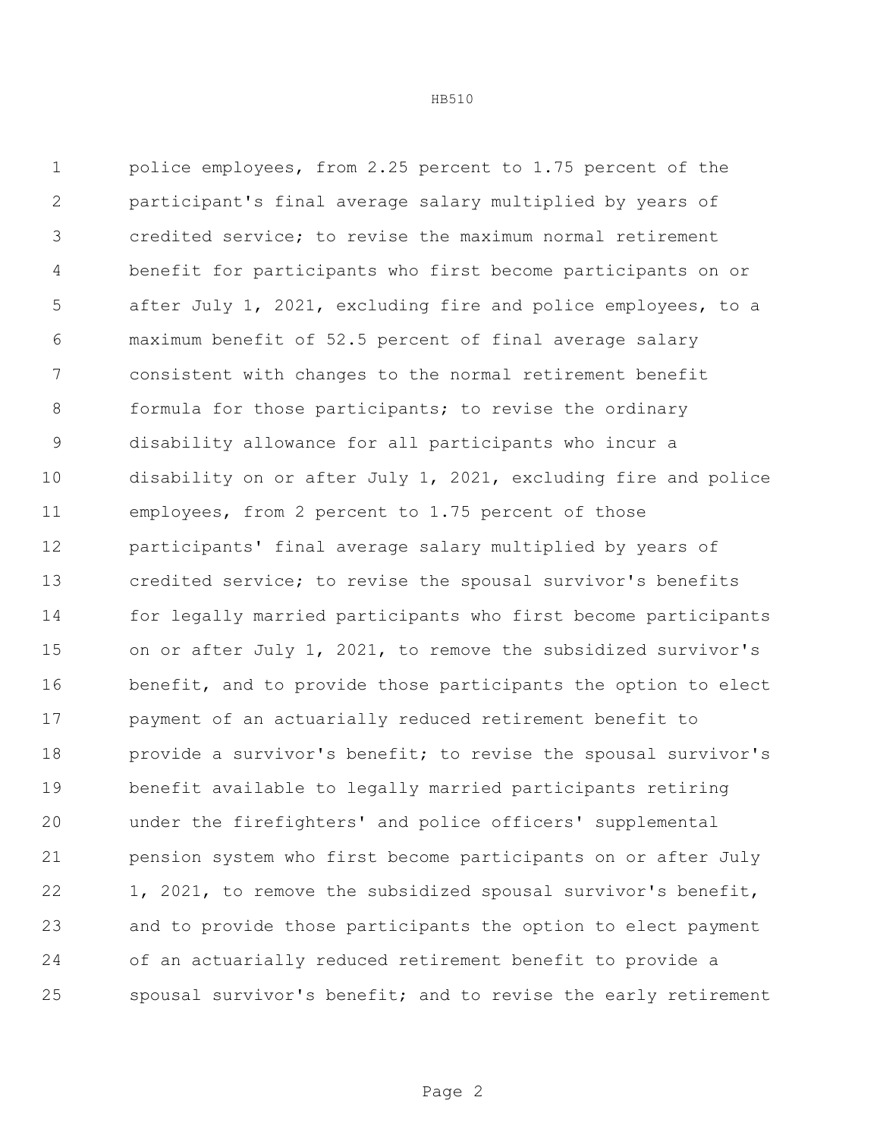police employees, from 2.25 percent to 1.75 percent of the participant's final average salary multiplied by years of credited service; to revise the maximum normal retirement benefit for participants who first become participants on or after July 1, 2021, excluding fire and police employees, to a maximum benefit of 52.5 percent of final average salary consistent with changes to the normal retirement benefit 8 formula for those participants; to revise the ordinary disability allowance for all participants who incur a disability on or after July 1, 2021, excluding fire and police employees, from 2 percent to 1.75 percent of those participants' final average salary multiplied by years of credited service; to revise the spousal survivor's benefits for legally married participants who first become participants on or after July 1, 2021, to remove the subsidized survivor's benefit, and to provide those participants the option to elect payment of an actuarially reduced retirement benefit to provide a survivor's benefit; to revise the spousal survivor's benefit available to legally married participants retiring under the firefighters' and police officers' supplemental pension system who first become participants on or after July 1, 2021, to remove the subsidized spousal survivor's benefit, and to provide those participants the option to elect payment of an actuarially reduced retirement benefit to provide a spousal survivor's benefit; and to revise the early retirement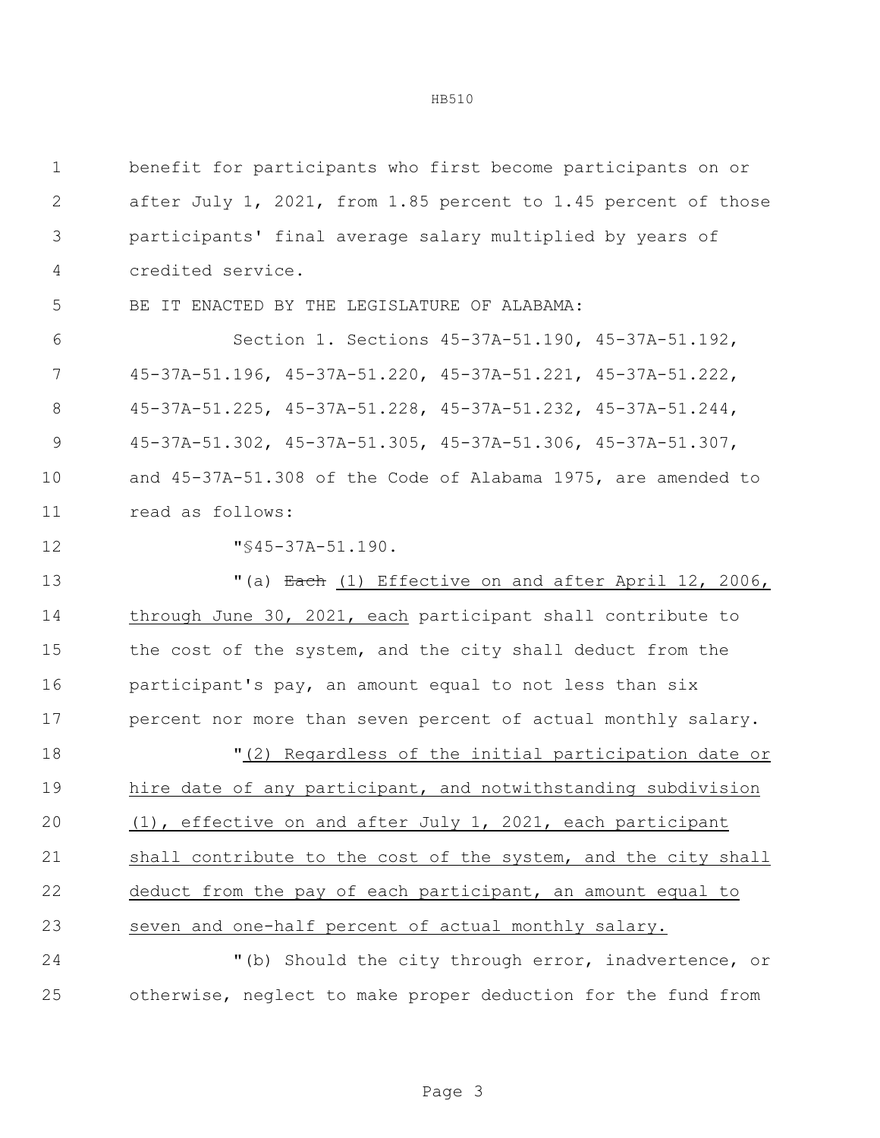| $\mathbf 1$   | benefit for participants who first become participants on or   |  |  |  |
|---------------|----------------------------------------------------------------|--|--|--|
| $\mathbf{2}$  | after July 1, 2021, from 1.85 percent to 1.45 percent of those |  |  |  |
| 3             | participants' final average salary multiplied by years of      |  |  |  |
| 4             | credited service.                                              |  |  |  |
| 5             | IT ENACTED BY THE LEGISLATURE OF ALABAMA:<br>BE                |  |  |  |
| 6             | Section 1. Sections 45-37A-51.190, 45-37A-51.192,              |  |  |  |
| 7             | 45-37A-51.196, 45-37A-51.220, 45-37A-51.221, 45-37A-51.222,    |  |  |  |
| $8\,$         | 45-37A-51.225, 45-37A-51.228, 45-37A-51.232, 45-37A-51.244,    |  |  |  |
| $\mathcal{G}$ | 45-37A-51.302, 45-37A-51.305, 45-37A-51.306, 45-37A-51.307,    |  |  |  |
| 10            | and 45-37A-51.308 of the Code of Alabama 1975, are amended to  |  |  |  |
| 11            | read as follows:                                               |  |  |  |
| 12            | $"$ \$45-37A-51.190.                                           |  |  |  |
| 13            | "(a) Each (1) Effective on and after April 12, 2006,           |  |  |  |
| 14            | through June 30, 2021, each participant shall contribute to    |  |  |  |
| 15            | the cost of the system, and the city shall deduct from the     |  |  |  |
| 16            | participant's pay, an amount equal to not less than six        |  |  |  |
| 17            | percent nor more than seven percent of actual monthly salary.  |  |  |  |
| 18            | "(2) Regardless of the initial participation date or           |  |  |  |
| 19            | hire date of any participant, and notwithstanding subdivision  |  |  |  |
| 20            | (1), effective on and after July 1, 2021, each participant     |  |  |  |
| 21            | shall contribute to the cost of the system, and the city shall |  |  |  |
| 22            | deduct from the pay of each participant, an amount equal to    |  |  |  |
| 23            | seven and one-half percent of actual monthly salary.           |  |  |  |
| 24            | "(b) Should the city through error, inadvertence, or           |  |  |  |
| 25            | otherwise, neglect to make proper deduction for the fund from  |  |  |  |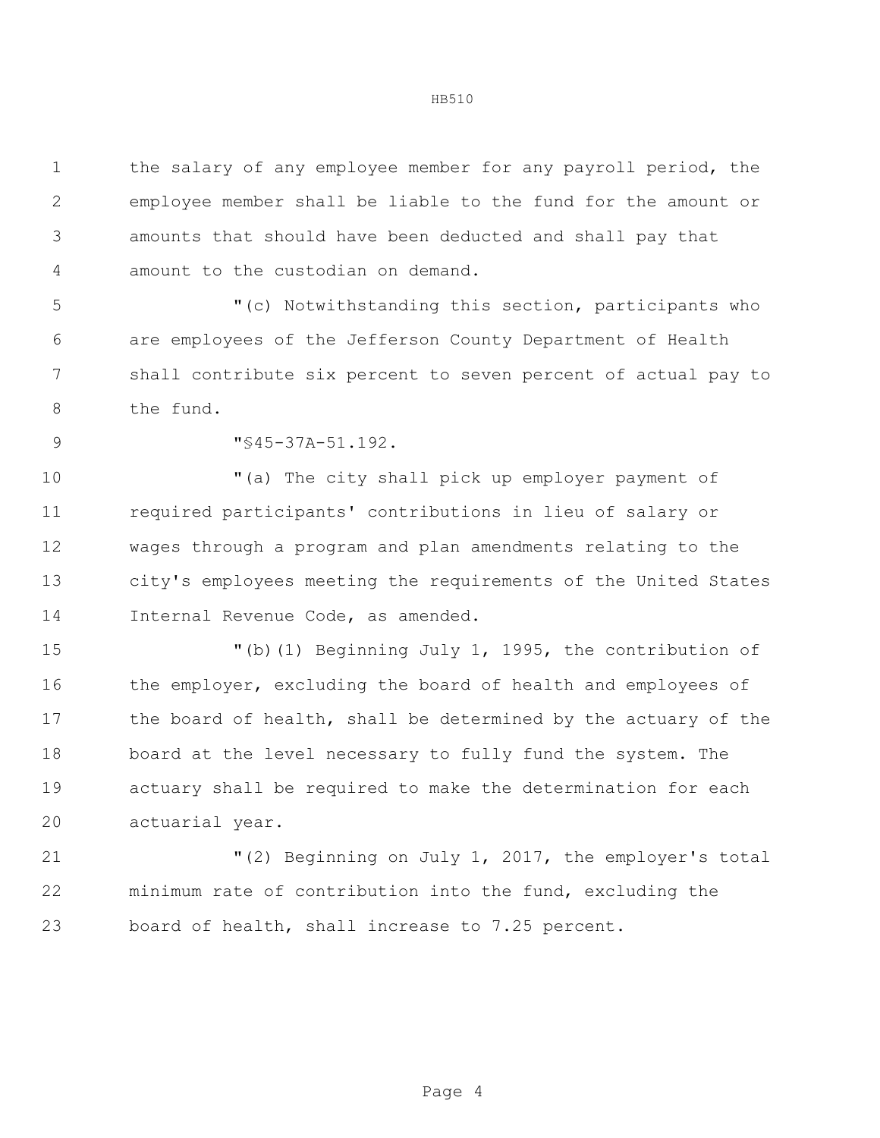the salary of any employee member for any payroll period, the employee member shall be liable to the fund for the amount or amounts that should have been deducted and shall pay that amount to the custodian on demand. "(c) Notwithstanding this section, participants who are employees of the Jefferson County Department of Health

 shall contribute six percent to seven percent of actual pay to the fund.

9  $\sqrt{9}$   $\sqrt{9}$   $\sqrt{9}$   $\sqrt{9}$   $\sqrt{9}$   $\sqrt{9}$   $\sqrt{9}$   $\sqrt{9}$   $\sqrt{9}$   $\sqrt{9}$   $\sqrt{9}$   $\sqrt{9}$   $\sqrt{9}$   $\sqrt{9}$   $\sqrt{9}$   $\sqrt{9}$   $\sqrt{9}$   $\sqrt{9}$   $\sqrt{9}$   $\sqrt{9}$   $\sqrt{9}$   $\sqrt{9}$   $\sqrt{9}$   $\sqrt{9}$   $\sqrt{9}$   $\sqrt{9}$   $\sqrt{9}$   $\sqrt{$ 

 "(a) The city shall pick up employer payment of required participants' contributions in lieu of salary or wages through a program and plan amendments relating to the city's employees meeting the requirements of the United States Internal Revenue Code, as amended.

 "(b)(1) Beginning July 1, 1995, the contribution of 16 the employer, excluding the board of health and employees of 17 the board of health, shall be determined by the actuary of the board at the level necessary to fully fund the system. The actuary shall be required to make the determination for each actuarial year.

 "(2) Beginning on July 1, 2017, the employer's total minimum rate of contribution into the fund, excluding the board of health, shall increase to 7.25 percent.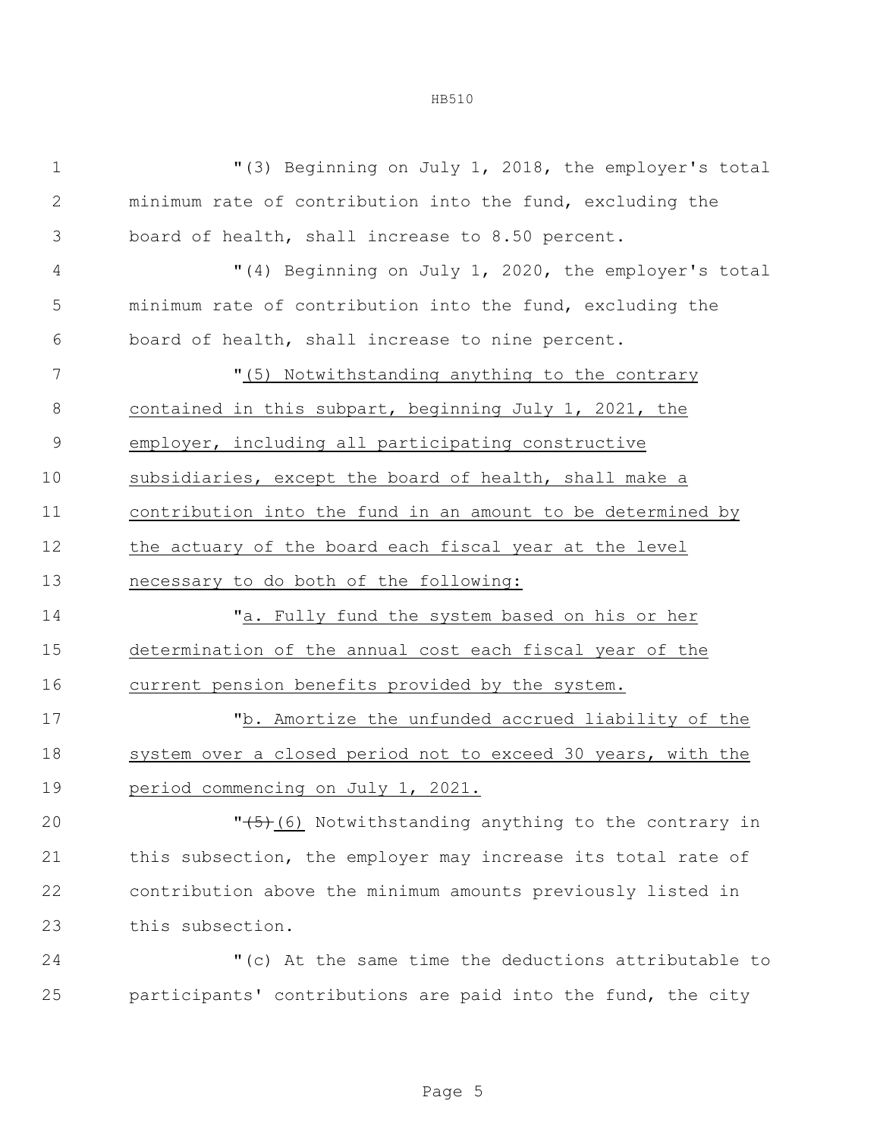| $1\,$         | "(3) Beginning on July 1, 2018, the employer's total         |  |  |  |
|---------------|--------------------------------------------------------------|--|--|--|
| $\mathbf{2}$  | minimum rate of contribution into the fund, excluding the    |  |  |  |
| 3             | board of health, shall increase to 8.50 percent.             |  |  |  |
| 4             | "(4) Beginning on July 1, 2020, the employer's total         |  |  |  |
| 5             | minimum rate of contribution into the fund, excluding the    |  |  |  |
| 6             | board of health, shall increase to nine percent.             |  |  |  |
| 7             | "(5) Notwithstanding anything to the contrary                |  |  |  |
| 8             | contained in this subpart, beginning July 1, 2021, the       |  |  |  |
| $\mathcal{G}$ | employer, including all participating constructive           |  |  |  |
| 10            | subsidiaries, except the board of health, shall make a       |  |  |  |
| 11            | contribution into the fund in an amount to be determined by  |  |  |  |
| 12            | the actuary of the board each fiscal year at the level       |  |  |  |
| 13            | necessary to do both of the following:                       |  |  |  |
| 14            | "a. Fully fund the system based on his or her                |  |  |  |
| 15            | determination of the annual cost each fiscal year of the     |  |  |  |
| 16            | current pension benefits provided by the system.             |  |  |  |
| 17            | "b. Amortize the unfunded accrued liability of the           |  |  |  |
| 18            | system over a closed period not to exceed 30 years, with the |  |  |  |
| 19            | period commencing on July 1, 2021.                           |  |  |  |
| 20            | $"(5)$ (6) Notwithstanding anything to the contrary in       |  |  |  |
| 21            | this subsection, the employer may increase its total rate of |  |  |  |
| 22            | contribution above the minimum amounts previously listed in  |  |  |  |
| 23            | this subsection.                                             |  |  |  |
| 24            | "(c) At the same time the deductions attributable to         |  |  |  |
| 25            | participants' contributions are paid into the fund, the city |  |  |  |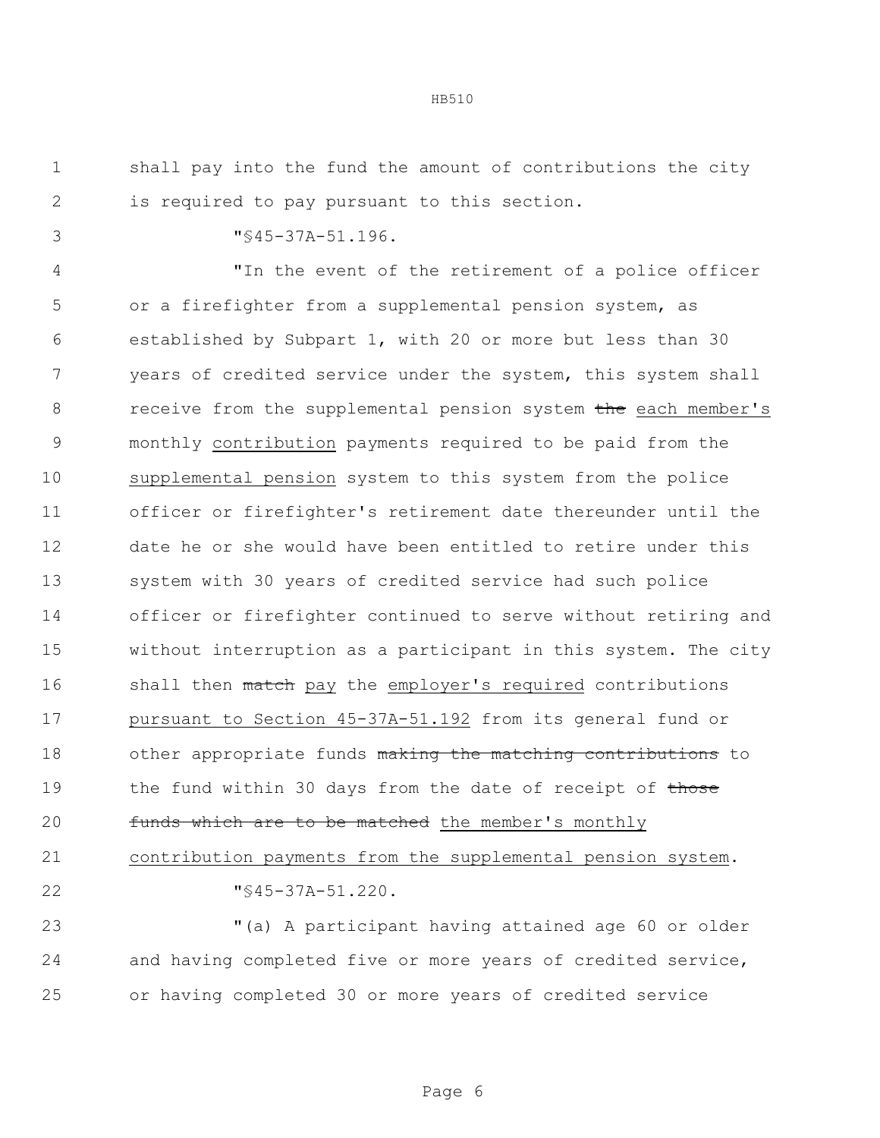shall pay into the fund the amount of contributions the city is required to pay pursuant to this section.

"§45-37A-51.196.

 "In the event of the retirement of a police officer or a firefighter from a supplemental pension system, as established by Subpart 1, with 20 or more but less than 30 years of credited service under the system, this system shall 8 receive from the supplemental pension system the each member's monthly contribution payments required to be paid from the supplemental pension system to this system from the police officer or firefighter's retirement date thereunder until the date he or she would have been entitled to retire under this system with 30 years of credited service had such police officer or firefighter continued to serve without retiring and without interruption as a participant in this system. The city 16 shall then match pay the employer's required contributions pursuant to Section 45-37A-51.192 from its general fund or 18 other appropriate funds making the matching contributions to 19 the fund within 30 days from the date of receipt of those 20 funds which are to be matched the member's monthly contribution payments from the supplemental pension system.

"§45-37A-51.220.

 "(a) A participant having attained age 60 or older and having completed five or more years of credited service, or having completed 30 or more years of credited service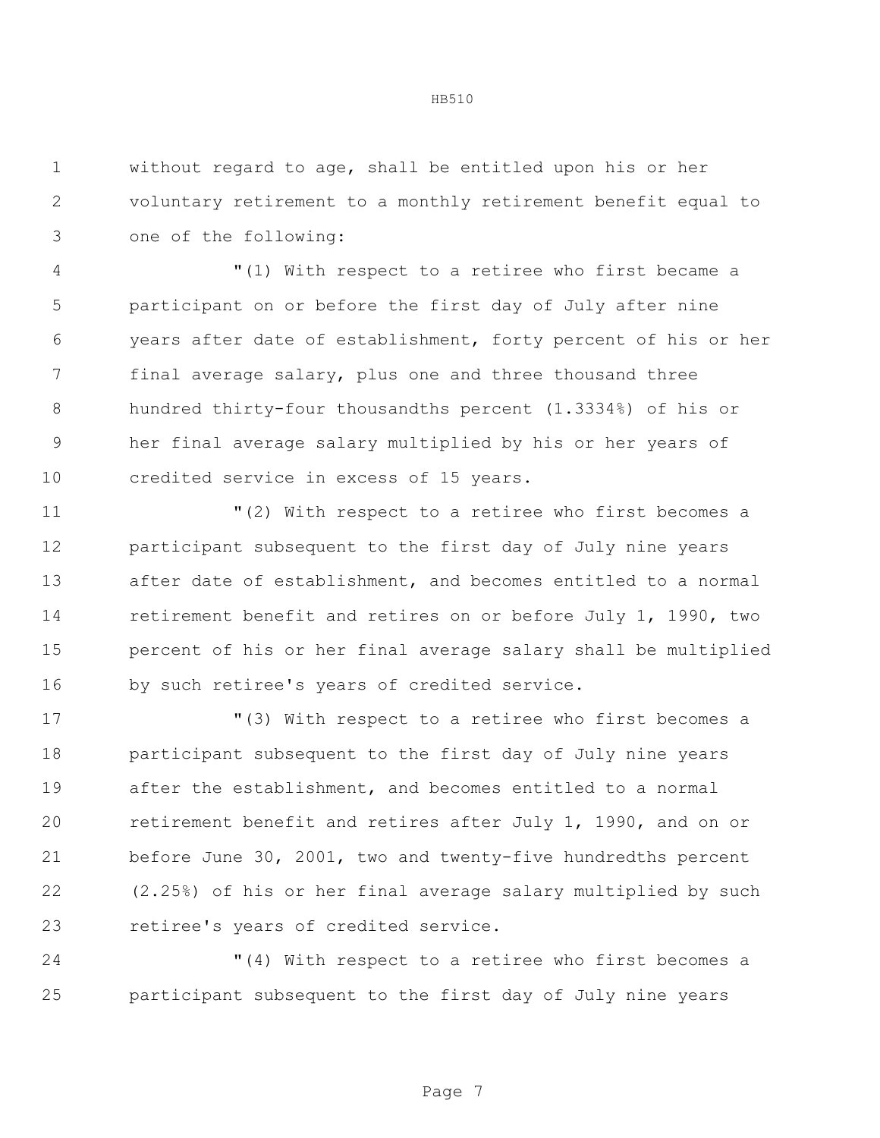without regard to age, shall be entitled upon his or her voluntary retirement to a monthly retirement benefit equal to one of the following:

 "(1) With respect to a retiree who first became a participant on or before the first day of July after nine years after date of establishment, forty percent of his or her final average salary, plus one and three thousand three hundred thirty-four thousandths percent (1.3334%) of his or her final average salary multiplied by his or her years of credited service in excess of 15 years.

 "(2) With respect to a retiree who first becomes a participant subsequent to the first day of July nine years after date of establishment, and becomes entitled to a normal retirement benefit and retires on or before July 1, 1990, two percent of his or her final average salary shall be multiplied by such retiree's years of credited service.

 "(3) With respect to a retiree who first becomes a participant subsequent to the first day of July nine years after the establishment, and becomes entitled to a normal retirement benefit and retires after July 1, 1990, and on or before June 30, 2001, two and twenty-five hundredths percent (2.25%) of his or her final average salary multiplied by such retiree's years of credited service.

 "(4) With respect to a retiree who first becomes a participant subsequent to the first day of July nine years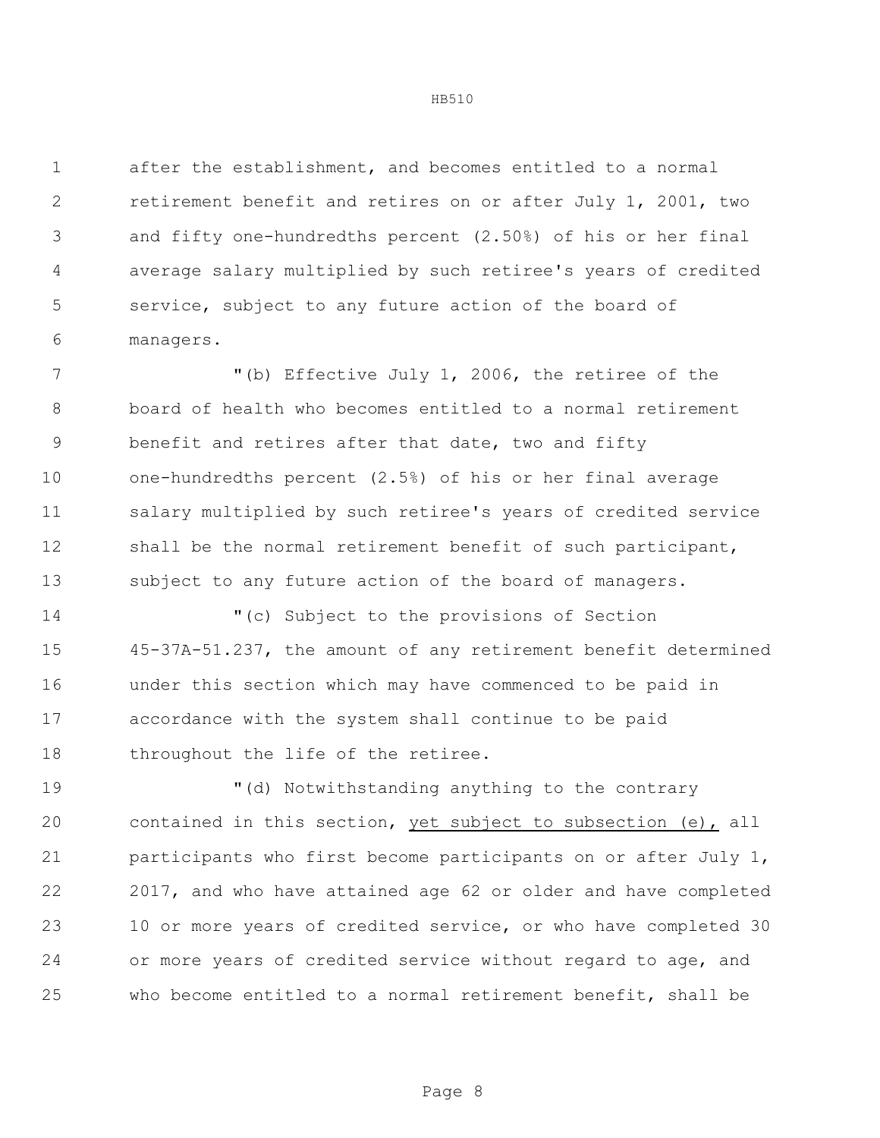after the establishment, and becomes entitled to a normal retirement benefit and retires on or after July 1, 2001, two and fifty one-hundredths percent (2.50%) of his or her final average salary multiplied by such retiree's years of credited service, subject to any future action of the board of managers.

 "(b) Effective July 1, 2006, the retiree of the board of health who becomes entitled to a normal retirement benefit and retires after that date, two and fifty one-hundredths percent (2.5%) of his or her final average salary multiplied by such retiree's years of credited service shall be the normal retirement benefit of such participant, subject to any future action of the board of managers.

 "(c) Subject to the provisions of Section 45-37A-51.237, the amount of any retirement benefit determined under this section which may have commenced to be paid in accordance with the system shall continue to be paid 18 throughout the life of the retiree.

 "(d) Notwithstanding anything to the contrary contained in this section, yet subject to subsection (e), all participants who first become participants on or after July 1, 2017, and who have attained age 62 or older and have completed 10 or more years of credited service, or who have completed 30 or more years of credited service without regard to age, and who become entitled to a normal retirement benefit, shall be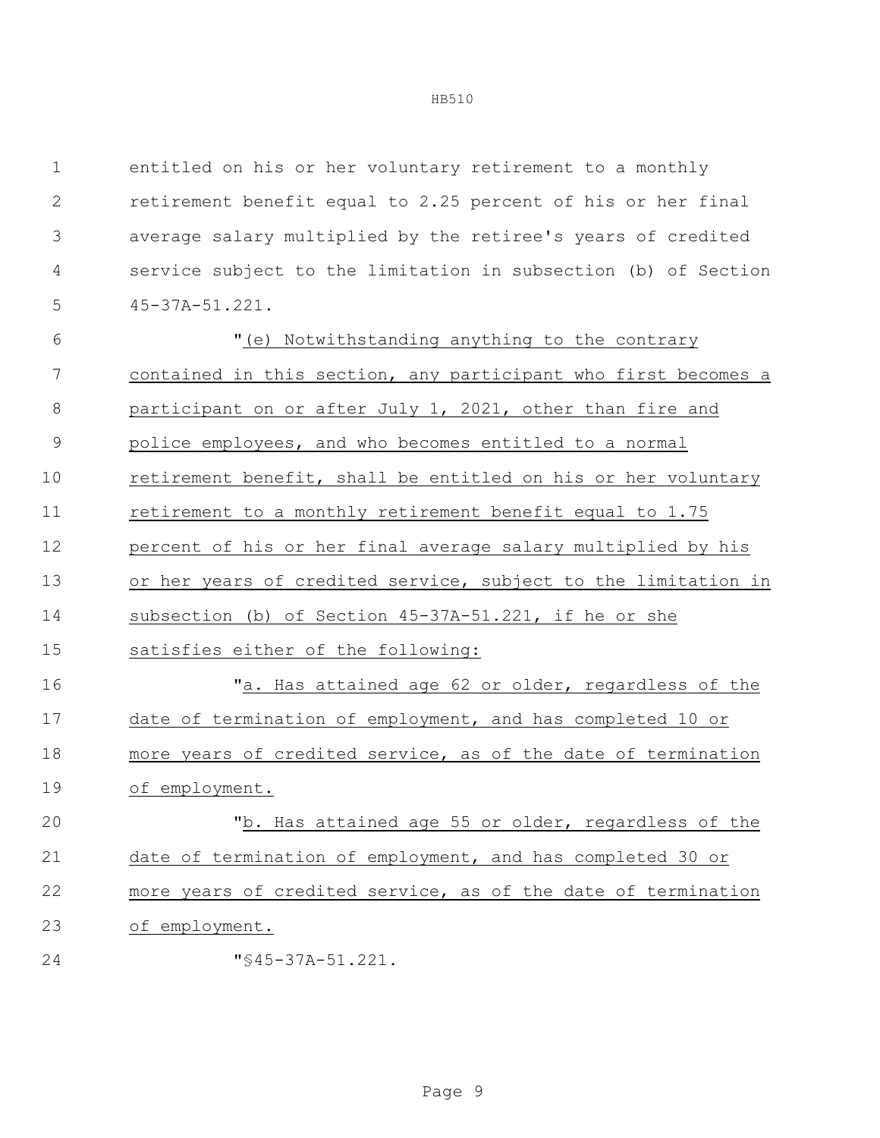entitled on his or her voluntary retirement to a monthly retirement benefit equal to 2.25 percent of his or her final average salary multiplied by the retiree's years of credited service subject to the limitation in subsection (b) of Section 45-37A-51.221. "(e) Notwithstanding anything to the contrary contained in this section, any participant who first becomes a participant on or after July 1, 2021, other than fire and police employees, and who becomes entitled to a normal retirement benefit, shall be entitled on his or her voluntary retirement to a monthly retirement benefit equal to 1.75 percent of his or her final average salary multiplied by his or her years of credited service, subject to the limitation in subsection (b) of Section 45-37A-51.221, if he or she satisfies either of the following: "a. Has attained age 62 or older, regardless of the date of termination of employment, and has completed 10 or more years of credited service, as of the date of termination of employment. "b. Has attained age 55 or older, regardless of the date of termination of employment, and has completed 30 or more years of credited service, as of the date of termination of employment. **"**§45-37A-51.221.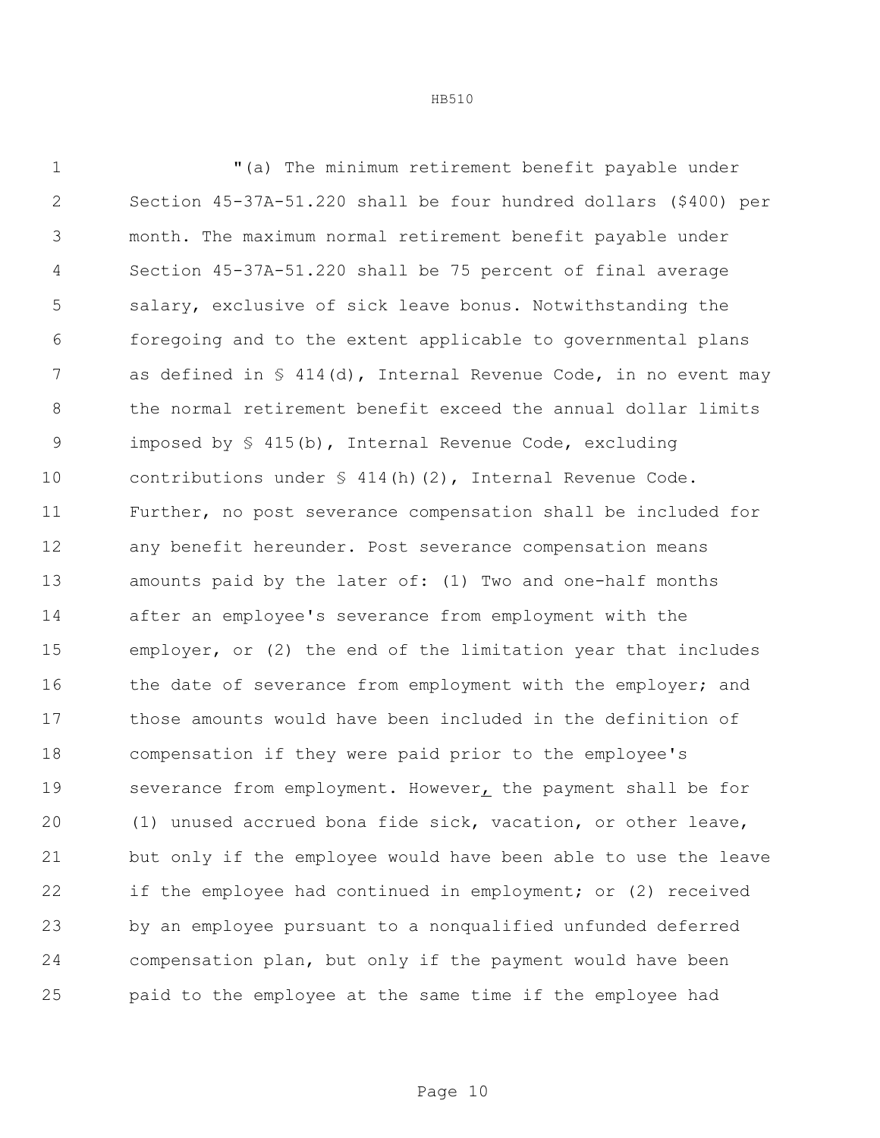"(a) The minimum retirement benefit payable under Section 45-37A-51.220 shall be four hundred dollars (\$400) per month. The maximum normal retirement benefit payable under Section 45-37A-51.220 shall be 75 percent of final average salary, exclusive of sick leave bonus. Notwithstanding the foregoing and to the extent applicable to governmental plans 7 as defined in § 414(d), Internal Revenue Code, in no event may the normal retirement benefit exceed the annual dollar limits imposed by § 415(b), Internal Revenue Code, excluding 10 contributions under § 414(h)(2), Internal Revenue Code. Further, no post severance compensation shall be included for any benefit hereunder. Post severance compensation means amounts paid by the later of: (1) Two and one-half months after an employee's severance from employment with the employer, or (2) the end of the limitation year that includes 16 the date of severance from employment with the employer; and those amounts would have been included in the definition of compensation if they were paid prior to the employee's severance from employment. However, the payment shall be for (1) unused accrued bona fide sick, vacation, or other leave, but only if the employee would have been able to use the leave if the employee had continued in employment; or (2) received by an employee pursuant to a nonqualified unfunded deferred compensation plan, but only if the payment would have been

HB510

paid to the employee at the same time if the employee had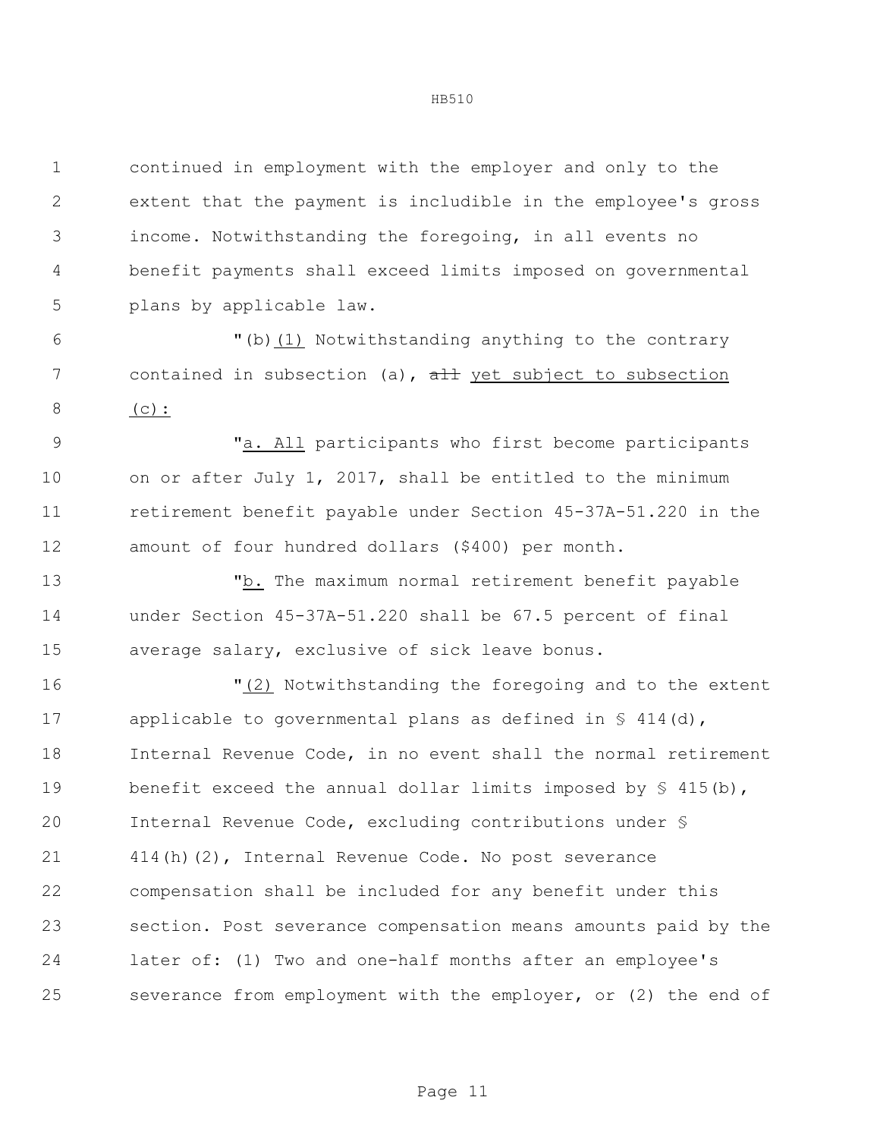continued in employment with the employer and only to the extent that the payment is includible in the employee's gross income. Notwithstanding the foregoing, in all events no benefit payments shall exceed limits imposed on governmental plans by applicable law.

 "(b)(1) Notwithstanding anything to the contrary 7 contained in subsection (a),  $\frac{1}{a}$  yet subject to subsection (c):

 "a. All participants who first become participants 10 on or after July 1, 2017, shall be entitled to the minimum retirement benefit payable under Section 45-37A-51.220 in the amount of four hundred dollars (\$400) per month.

 "b. The maximum normal retirement benefit payable under Section 45-37A-51.220 shall be 67.5 percent of final average salary, exclusive of sick leave bonus.

 "(2) Notwithstanding the foregoing and to the extent 17 applicable to governmental plans as defined in § 414(d), Internal Revenue Code, in no event shall the normal retirement 19 benefit exceed the annual dollar limits imposed by  $\frac{1}{5}$  415(b), Internal Revenue Code, excluding contributions under § 414(h)(2), Internal Revenue Code. No post severance compensation shall be included for any benefit under this section. Post severance compensation means amounts paid by the later of: (1) Two and one-half months after an employee's severance from employment with the employer, or (2) the end of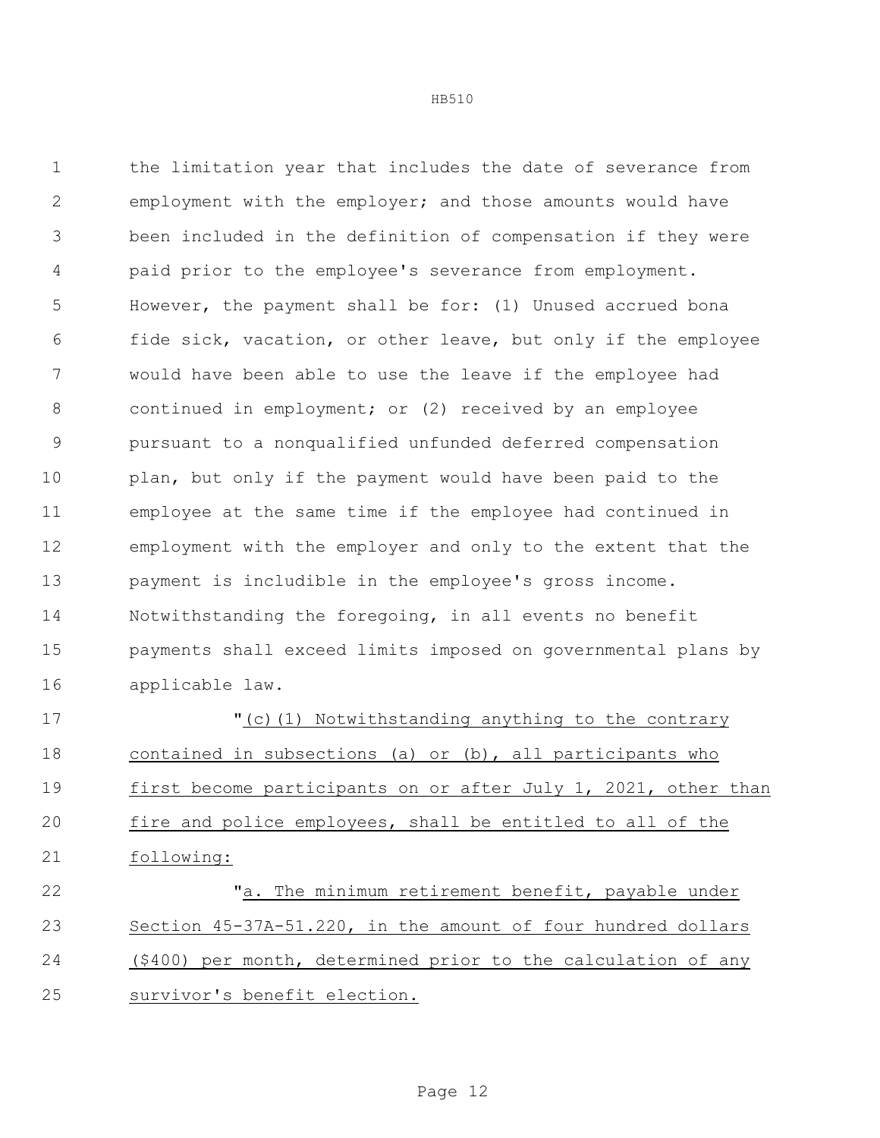the limitation year that includes the date of severance from employment with the employer; and those amounts would have been included in the definition of compensation if they were paid prior to the employee's severance from employment. However, the payment shall be for: (1) Unused accrued bona fide sick, vacation, or other leave, but only if the employee would have been able to use the leave if the employee had 8 continued in employment; or (2) received by an employee pursuant to a nonqualified unfunded deferred compensation 10 plan, but only if the payment would have been paid to the employee at the same time if the employee had continued in employment with the employer and only to the extent that the payment is includible in the employee's gross income. Notwithstanding the foregoing, in all events no benefit payments shall exceed limits imposed on governmental plans by applicable law. "(c)(1) Notwithstanding anything to the contrary contained in subsections (a) or (b), all participants who first become participants on or after July 1, 2021, other than fire and police employees, shall be entitled to all of the following:

 "a. The minimum retirement benefit, payable under Section 45-37A-51.220, in the amount of four hundred dollars (\$400) per month, determined prior to the calculation of any survivor's benefit election.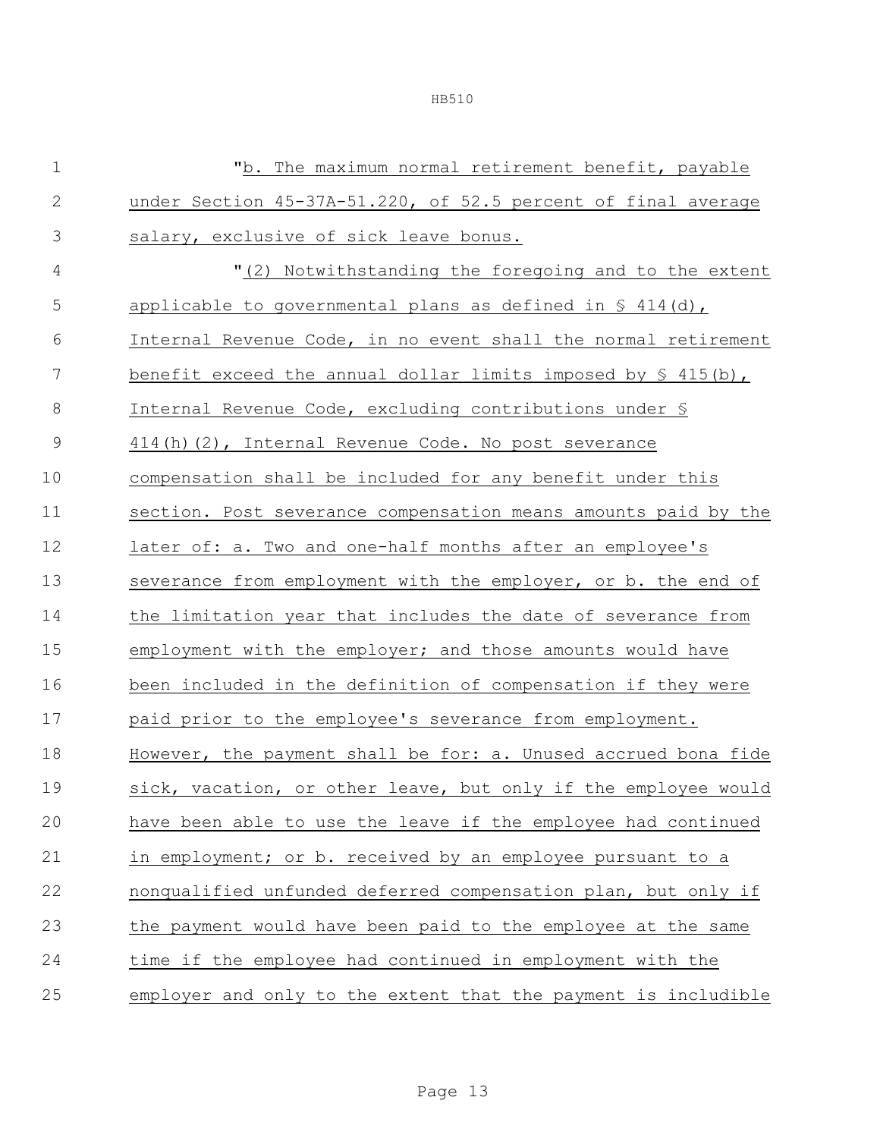|--|--|

| $1\,$          | "b. The maximum normal retirement benefit, payable                   |
|----------------|----------------------------------------------------------------------|
| $\mathbf 2$    | under Section 45-37A-51.220, of 52.5 percent of final average        |
| $\mathfrak{Z}$ | salary, exclusive of sick leave bonus.                               |
| $\overline{4}$ | "(2) Notwithstanding the foregoing and to the extent                 |
| 5              | applicable to governmental plans as defined in $\frac{6}{5}$ 414(d), |
| 6              | Internal Revenue Code, in no event shall the normal retirement       |
| 7              | benefit exceed the annual dollar limits imposed by $\S$ 415(b),      |
| $\,8\,$        | Internal Revenue Code, excluding contributions under §               |
| $\mathcal{G}$  | 414(h)(2), Internal Revenue Code. No post severance                  |
| 10             | compensation shall be included for any benefit under this            |
| 11             | section. Post severance compensation means amounts paid by the       |
| 12             | later of: a. Two and one-half months after an employee's             |
| 13             | severance from employment with the employer, or b. the end of        |
| 14             | the limitation year that includes the date of severance from         |
| 15             | employment with the employer; and those amounts would have           |
| 16             | been included in the definition of compensation if they were         |
| 17             | paid prior to the employee's severance from employment.              |
| 18             | However, the payment shall be for: a. Unused accrued bona fide       |
| 19             | sick, vacation, or other leave, but only if the employee would       |
| 20             | have been able to use the leave if the employee had continued        |
| 21             | in employment; or b. received by an employee pursuant to a           |
| 22             | nonqualified unfunded deferred compensation plan, but only if        |
| 23             | the payment would have been paid to the employee at the same         |
| 24             | time if the employee had continued in employment with the            |
| 25             | employer and only to the extent that the payment is includible       |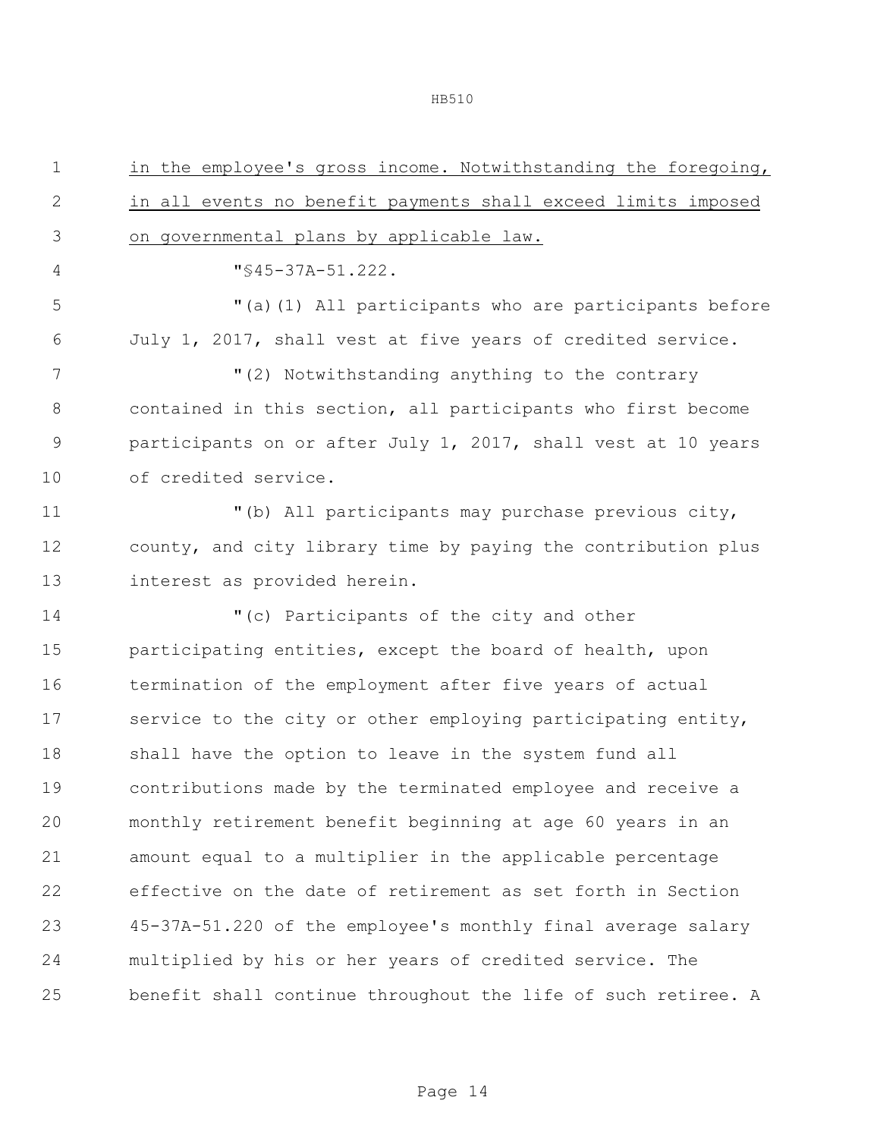| $\mathbf 1$    | in the employee's gross income. Notwithstanding the foregoing, |
|----------------|----------------------------------------------------------------|
| $\mathbf{2}$   | in all events no benefit payments shall exceed limits imposed  |
| $\mathfrak{Z}$ | on governmental plans by applicable law.                       |
| 4              | "\$45-37A-51.222.                                              |
| 5              | "(a)(1) All participants who are participants before           |
| 6              | July 1, 2017, shall vest at five years of credited service.    |
| 7              | "(2) Notwithstanding anything to the contrary                  |
| $8\,$          | contained in this section, all participants who first become   |
| $\overline{9}$ | participants on or after July 1, 2017, shall vest at 10 years  |
| 10             | of credited service.                                           |
| 11             | "(b) All participants may purchase previous city,              |
| 12             | county, and city library time by paying the contribution plus  |
| 13             | interest as provided herein.                                   |
| 14             | "(c) Participants of the city and other                        |
| 15             | participating entities, except the board of health, upon       |
| 16             | termination of the employment after five years of actual       |
| 17             | service to the city or other employing participating entity,   |
| 18             | shall have the option to leave in the system fund all          |
| 19             | contributions made by the terminated employee and receive a    |
| 20             | monthly retirement benefit beginning at age 60 years in an     |
| 21             | amount equal to a multiplier in the applicable percentage      |
| 22             | effective on the date of retirement as set forth in Section    |
| 23             | 45-37A-51.220 of the employee's monthly final average salary   |
| 24             | multiplied by his or her years of credited service. The        |
| 25             | benefit shall continue throughout the life of such retiree. A  |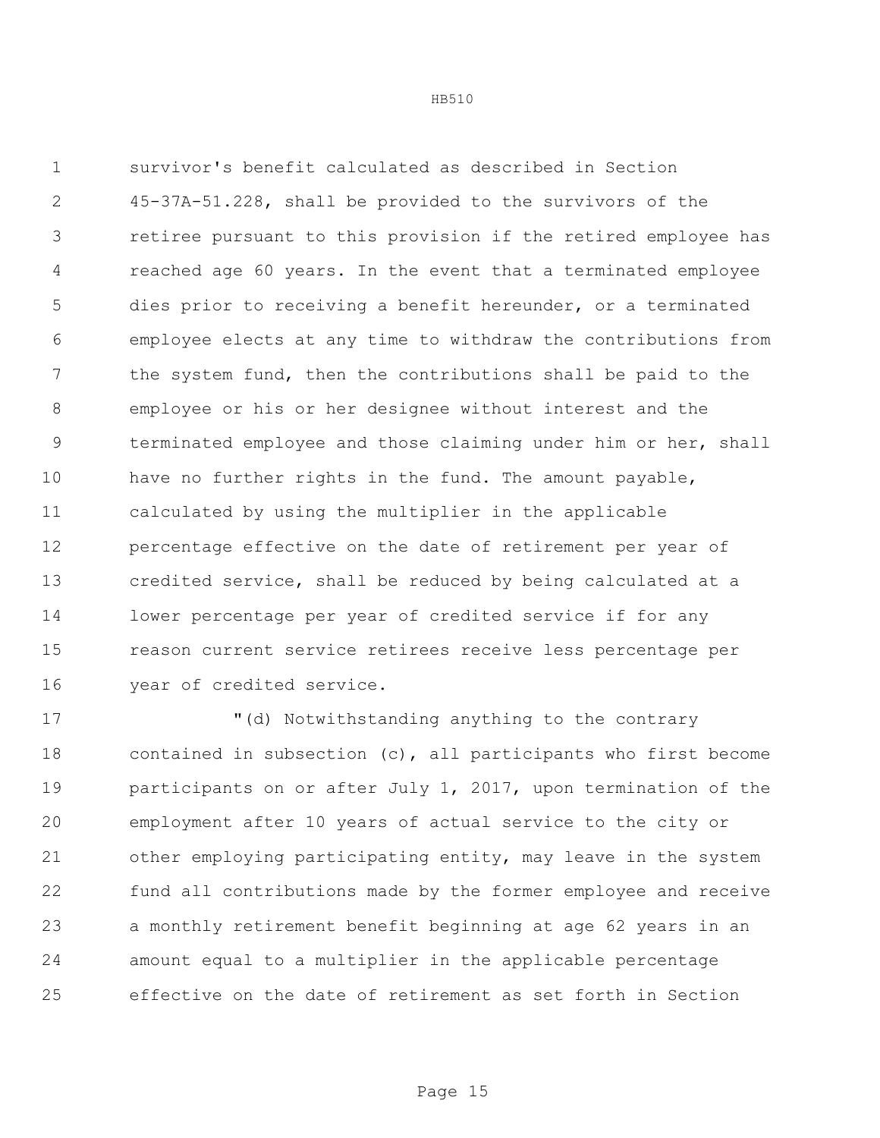survivor's benefit calculated as described in Section 45-37A-51.228, shall be provided to the survivors of the retiree pursuant to this provision if the retired employee has reached age 60 years. In the event that a terminated employee dies prior to receiving a benefit hereunder, or a terminated employee elects at any time to withdraw the contributions from the system fund, then the contributions shall be paid to the employee or his or her designee without interest and the terminated employee and those claiming under him or her, shall have no further rights in the fund. The amount payable, calculated by using the multiplier in the applicable percentage effective on the date of retirement per year of credited service, shall be reduced by being calculated at a lower percentage per year of credited service if for any reason current service retirees receive less percentage per year of credited service.

 "(d) Notwithstanding anything to the contrary contained in subsection (c), all participants who first become participants on or after July 1, 2017, upon termination of the employment after 10 years of actual service to the city or other employing participating entity, may leave in the system fund all contributions made by the former employee and receive a monthly retirement benefit beginning at age 62 years in an amount equal to a multiplier in the applicable percentage effective on the date of retirement as set forth in Section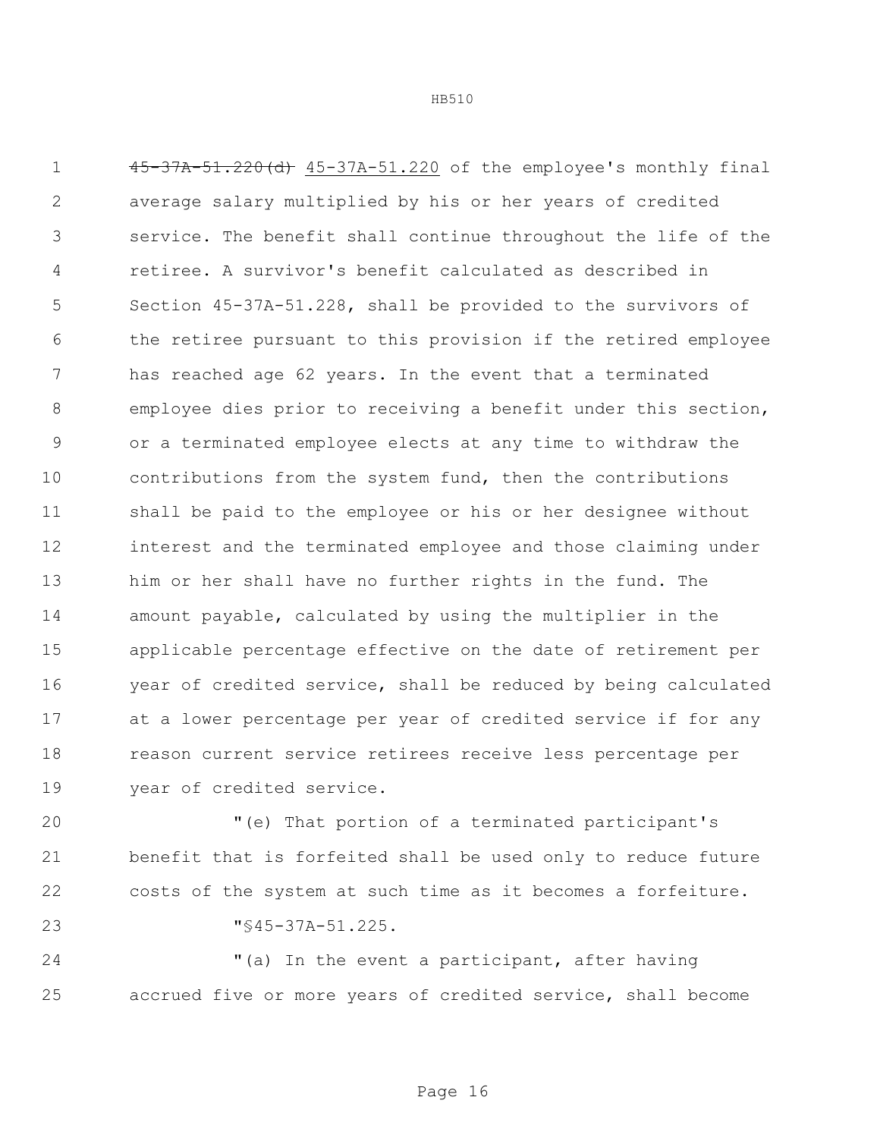45-37A-51.220(d) 45-37A-51.220 of the employee's monthly final average salary multiplied by his or her years of credited service. The benefit shall continue throughout the life of the retiree. A survivor's benefit calculated as described in Section 45-37A-51.228, shall be provided to the survivors of the retiree pursuant to this provision if the retired employee has reached age 62 years. In the event that a terminated employee dies prior to receiving a benefit under this section, or a terminated employee elects at any time to withdraw the contributions from the system fund, then the contributions shall be paid to the employee or his or her designee without interest and the terminated employee and those claiming under him or her shall have no further rights in the fund. The amount payable, calculated by using the multiplier in the applicable percentage effective on the date of retirement per year of credited service, shall be reduced by being calculated at a lower percentage per year of credited service if for any reason current service retirees receive less percentage per year of credited service.

 "(e) That portion of a terminated participant's benefit that is forfeited shall be used only to reduce future costs of the system at such time as it becomes a forfeiture.

"§45-37A-51.225.

 "(a) In the event a participant, after having accrued five or more years of credited service, shall become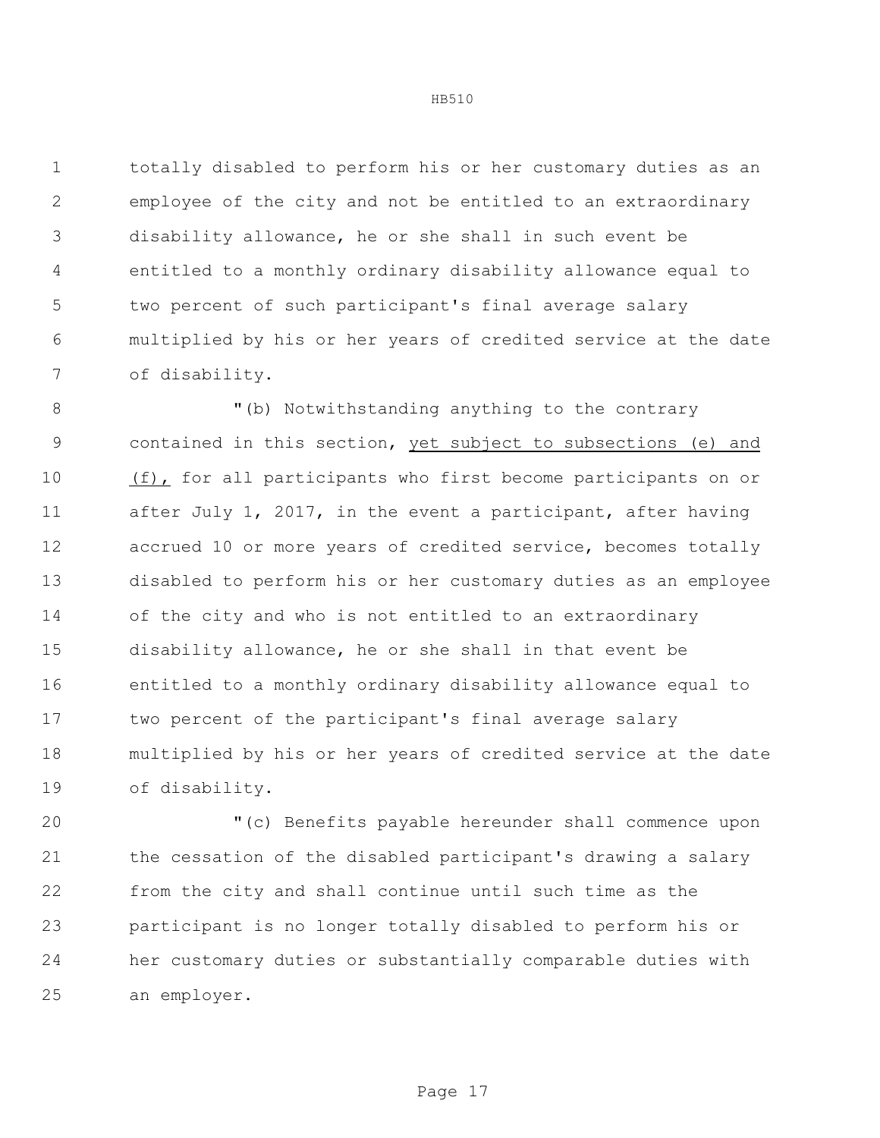totally disabled to perform his or her customary duties as an employee of the city and not be entitled to an extraordinary disability allowance, he or she shall in such event be entitled to a monthly ordinary disability allowance equal to two percent of such participant's final average salary multiplied by his or her years of credited service at the date of disability.

8 "(b) Notwithstanding anything to the contrary contained in this section, yet subject to subsections (e) and (f), for all participants who first become participants on or after July 1, 2017, in the event a participant, after having accrued 10 or more years of credited service, becomes totally disabled to perform his or her customary duties as an employee of the city and who is not entitled to an extraordinary disability allowance, he or she shall in that event be entitled to a monthly ordinary disability allowance equal to two percent of the participant's final average salary multiplied by his or her years of credited service at the date of disability.

 "(c) Benefits payable hereunder shall commence upon the cessation of the disabled participant's drawing a salary from the city and shall continue until such time as the participant is no longer totally disabled to perform his or her customary duties or substantially comparable duties with an employer.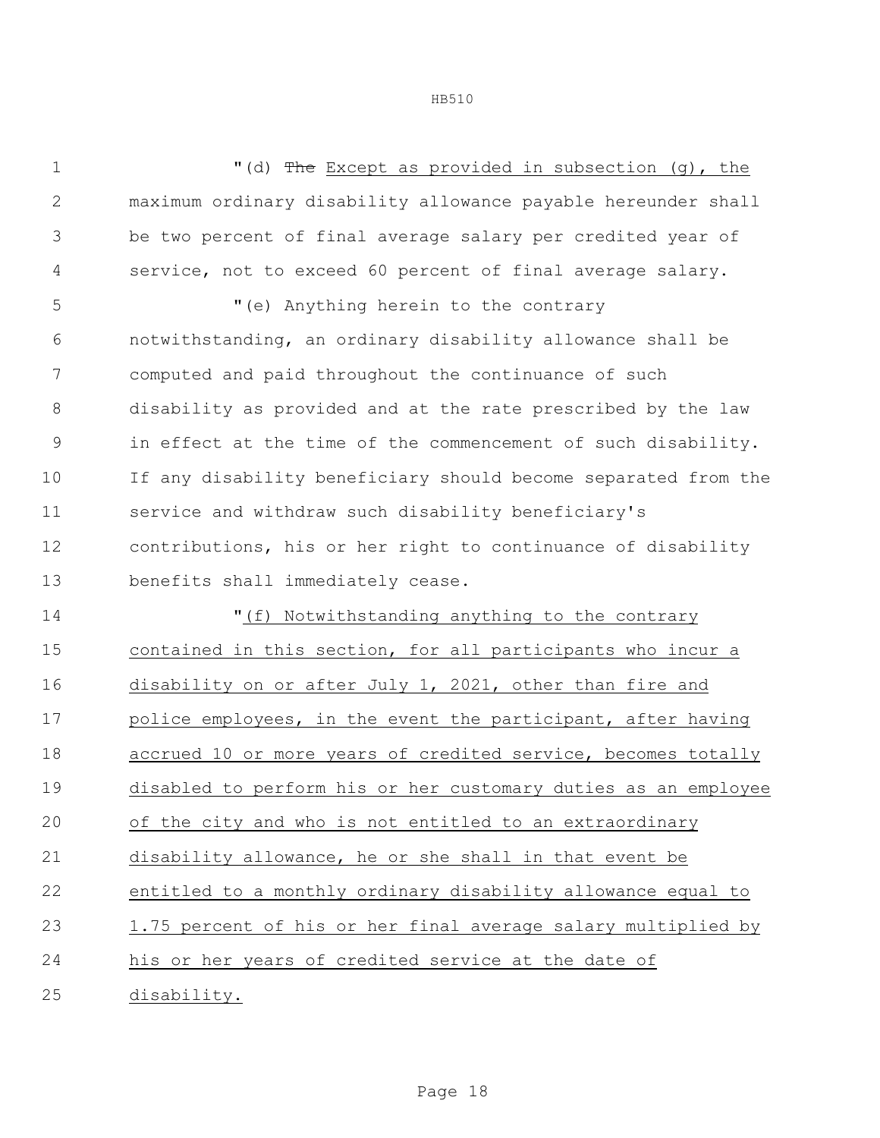1 The Except as provided in subsection (q), the maximum ordinary disability allowance payable hereunder shall be two percent of final average salary per credited year of service, not to exceed 60 percent of final average salary. "(e) Anything herein to the contrary

 notwithstanding, an ordinary disability allowance shall be computed and paid throughout the continuance of such disability as provided and at the rate prescribed by the law in effect at the time of the commencement of such disability. If any disability beneficiary should become separated from the service and withdraw such disability beneficiary's contributions, his or her right to continuance of disability benefits shall immediately cease.

 "(f) Notwithstanding anything to the contrary contained in this section, for all participants who incur a disability on or after July 1, 2021, other than fire and 17 police employees, in the event the participant, after having accrued 10 or more years of credited service, becomes totally disabled to perform his or her customary duties as an employee of the city and who is not entitled to an extraordinary disability allowance, he or she shall in that event be entitled to a monthly ordinary disability allowance equal to 1.75 percent of his or her final average salary multiplied by his or her years of credited service at the date of disability.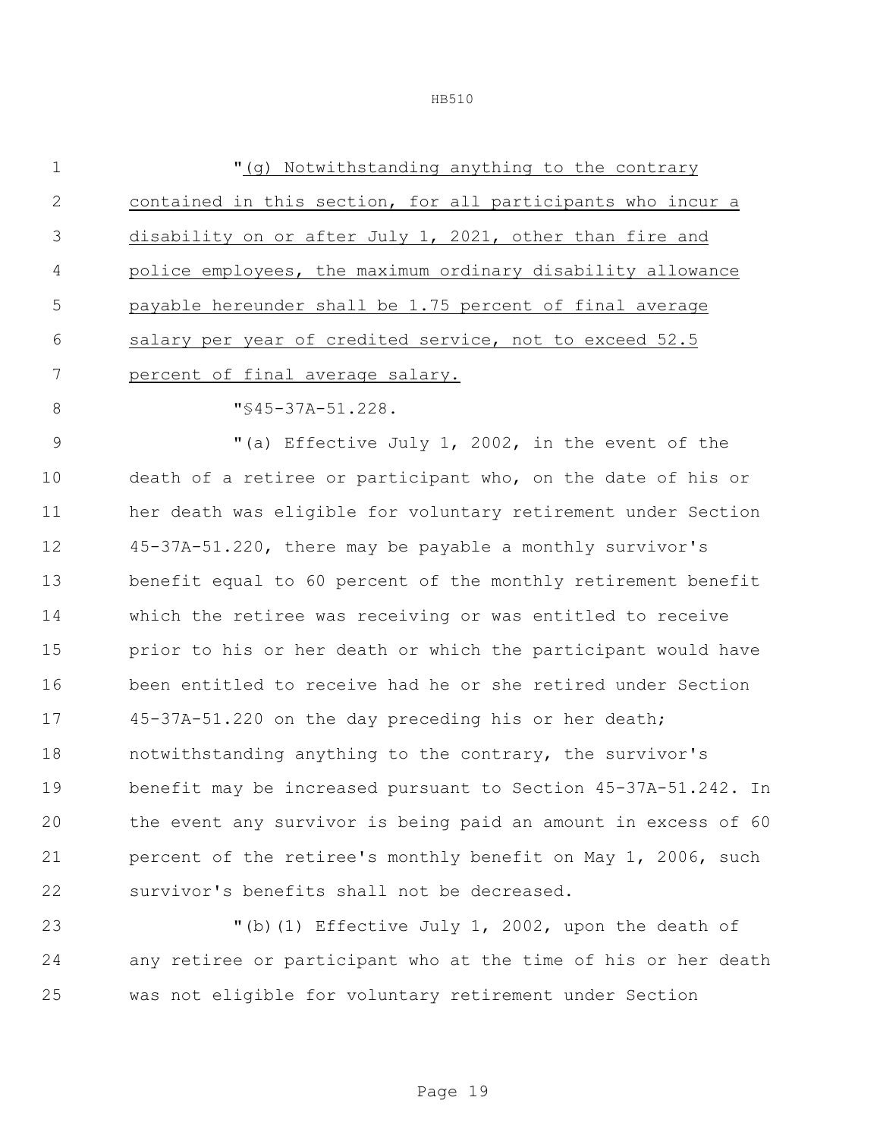| $\overline{1}$ | "(q) Notwithstanding anything to the contrary               |
|----------------|-------------------------------------------------------------|
| $\mathcal{L}$  | contained in this section, for all participants who incur a |
| 3              | disability on or after July 1, 2021, other than fire and    |
| 4              | police employees, the maximum ordinary disability allowance |
| .5             | payable hereunder shall be 1.75 percent of final average    |
| 6              | salary per year of credited service, not to exceed 52.5     |
| 7              | percent of final average salary.                            |
| 8              | $\texttt{"S45-37A-51.228}.$                                 |
| $\mathsf{Q}$   | "(a) Effective July 1, 2002, in the event of the            |

 death of a retiree or participant who, on the date of his or her death was eligible for voluntary retirement under Section 45-37A-51.220, there may be payable a monthly survivor's benefit equal to 60 percent of the monthly retirement benefit which the retiree was receiving or was entitled to receive prior to his or her death or which the participant would have been entitled to receive had he or she retired under Section 45-37A-51.220 on the day preceding his or her death; notwithstanding anything to the contrary, the survivor's benefit may be increased pursuant to Section 45-37A-51.242. In the event any survivor is being paid an amount in excess of 60 percent of the retiree's monthly benefit on May 1, 2006, such survivor's benefits shall not be decreased.

 "(b)(1) Effective July 1, 2002, upon the death of any retiree or participant who at the time of his or her death was not eligible for voluntary retirement under Section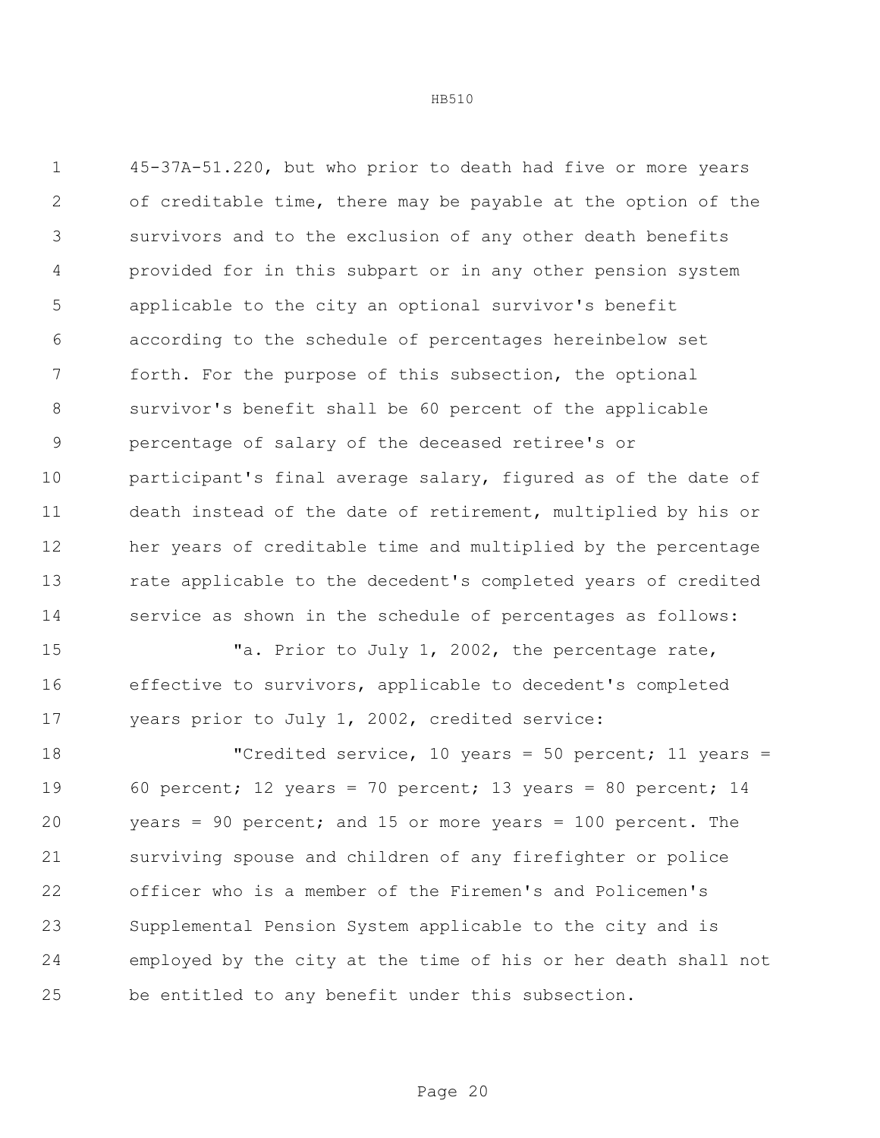45-37A-51.220, but who prior to death had five or more years of creditable time, there may be payable at the option of the survivors and to the exclusion of any other death benefits provided for in this subpart or in any other pension system applicable to the city an optional survivor's benefit according to the schedule of percentages hereinbelow set forth. For the purpose of this subsection, the optional survivor's benefit shall be 60 percent of the applicable percentage of salary of the deceased retiree's or participant's final average salary, figured as of the date of death instead of the date of retirement, multiplied by his or her years of creditable time and multiplied by the percentage rate applicable to the decedent's completed years of credited service as shown in the schedule of percentages as follows:

15 Ta. Prior to July 1, 2002, the percentage rate, effective to survivors, applicable to decedent's completed years prior to July 1, 2002, credited service:

 "Credited service, 10 years = 50 percent; 11 years = 60 percent; 12 years = 70 percent; 13 years = 80 percent; 14 years = 90 percent; and 15 or more years = 100 percent. The surviving spouse and children of any firefighter or police officer who is a member of the Firemen's and Policemen's Supplemental Pension System applicable to the city and is employed by the city at the time of his or her death shall not be entitled to any benefit under this subsection.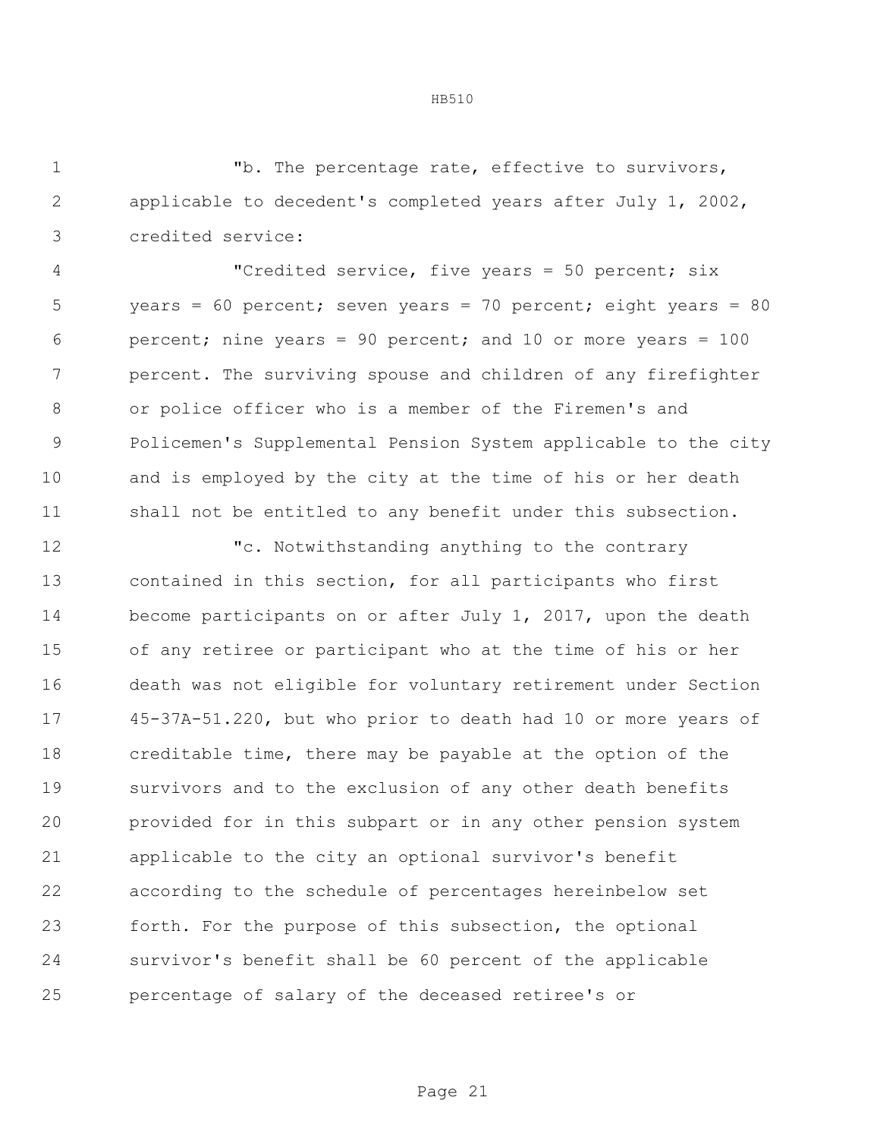"b. The percentage rate, effective to survivors, applicable to decedent's completed years after July 1, 2002, credited service:

 "Credited service, five years = 50 percent; six years = 60 percent; seven years = 70 percent; eight years = 80 percent; nine years = 90 percent; and 10 or more years = 100 percent. The surviving spouse and children of any firefighter or police officer who is a member of the Firemen's and Policemen's Supplemental Pension System applicable to the city and is employed by the city at the time of his or her death shall not be entitled to any benefit under this subsection.

 "c. Notwithstanding anything to the contrary contained in this section, for all participants who first become participants on or after July 1, 2017, upon the death of any retiree or participant who at the time of his or her death was not eligible for voluntary retirement under Section 45-37A-51.220, but who prior to death had 10 or more years of creditable time, there may be payable at the option of the survivors and to the exclusion of any other death benefits provided for in this subpart or in any other pension system applicable to the city an optional survivor's benefit according to the schedule of percentages hereinbelow set forth. For the purpose of this subsection, the optional survivor's benefit shall be 60 percent of the applicable percentage of salary of the deceased retiree's or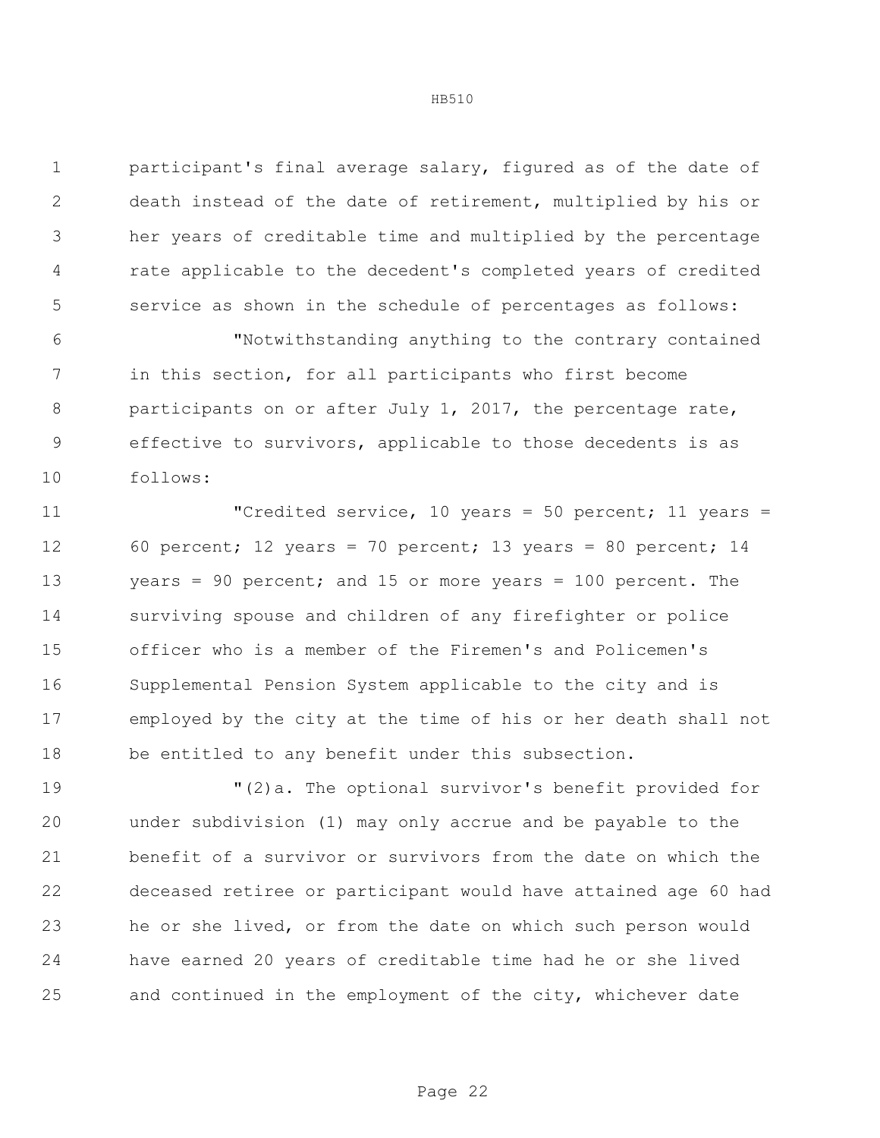participant's final average salary, figured as of the date of death instead of the date of retirement, multiplied by his or her years of creditable time and multiplied by the percentage rate applicable to the decedent's completed years of credited service as shown in the schedule of percentages as follows:

 "Notwithstanding anything to the contrary contained in this section, for all participants who first become 8 participants on or after July 1, 2017, the percentage rate, effective to survivors, applicable to those decedents is as follows:

11 The United Service, 10 years = 50 percent; 11 years = 60 percent; 12 years = 70 percent; 13 years = 80 percent; 14 years = 90 percent; and 15 or more years = 100 percent. The surviving spouse and children of any firefighter or police officer who is a member of the Firemen's and Policemen's Supplemental Pension System applicable to the city and is employed by the city at the time of his or her death shall not be entitled to any benefit under this subsection.

 "(2)a. The optional survivor's benefit provided for under subdivision (1) may only accrue and be payable to the benefit of a survivor or survivors from the date on which the deceased retiree or participant would have attained age 60 had he or she lived, or from the date on which such person would have earned 20 years of creditable time had he or she lived and continued in the employment of the city, whichever date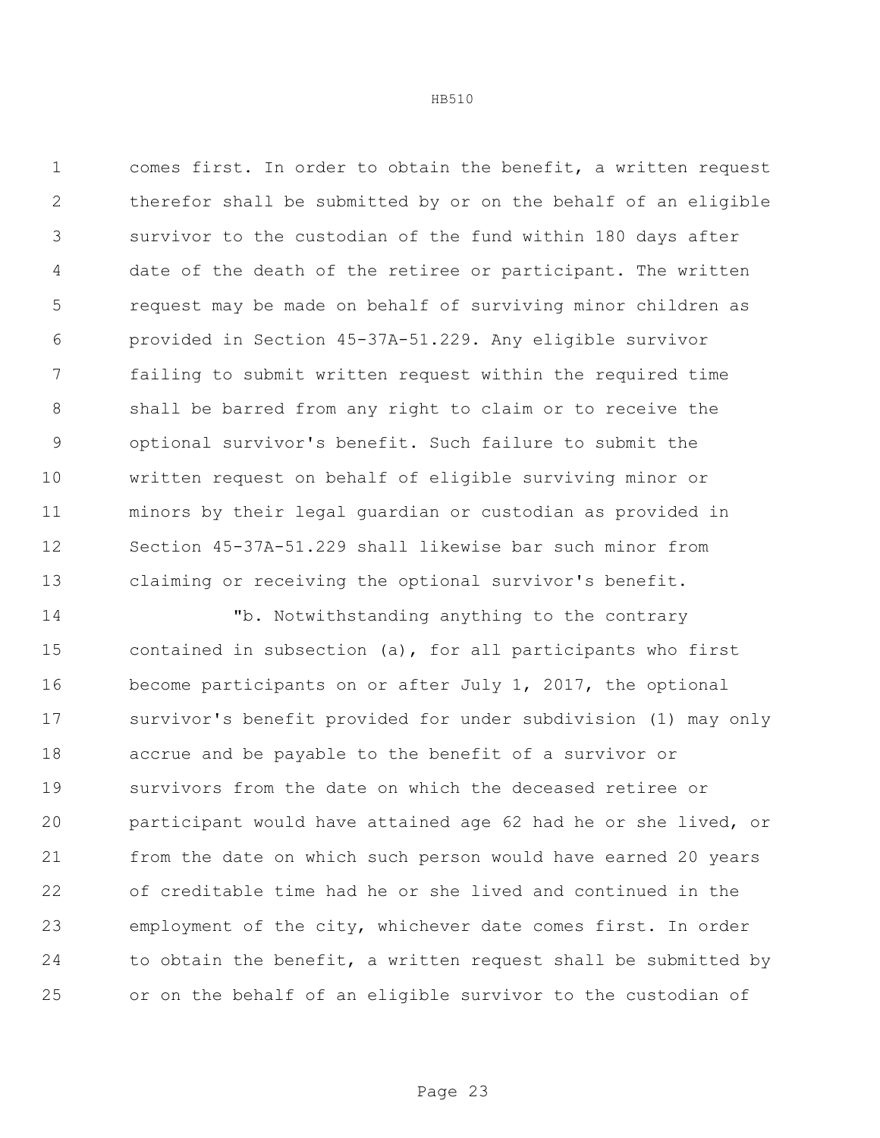comes first. In order to obtain the benefit, a written request therefor shall be submitted by or on the behalf of an eligible survivor to the custodian of the fund within 180 days after date of the death of the retiree or participant. The written request may be made on behalf of surviving minor children as provided in Section 45-37A-51.229. Any eligible survivor failing to submit written request within the required time shall be barred from any right to claim or to receive the optional survivor's benefit. Such failure to submit the written request on behalf of eligible surviving minor or minors by their legal guardian or custodian as provided in Section 45-37A-51.229 shall likewise bar such minor from claiming or receiving the optional survivor's benefit.

 "b. Notwithstanding anything to the contrary contained in subsection (a), for all participants who first become participants on or after July 1, 2017, the optional survivor's benefit provided for under subdivision (1) may only accrue and be payable to the benefit of a survivor or survivors from the date on which the deceased retiree or participant would have attained age 62 had he or she lived, or from the date on which such person would have earned 20 years of creditable time had he or she lived and continued in the employment of the city, whichever date comes first. In order to obtain the benefit, a written request shall be submitted by or on the behalf of an eligible survivor to the custodian of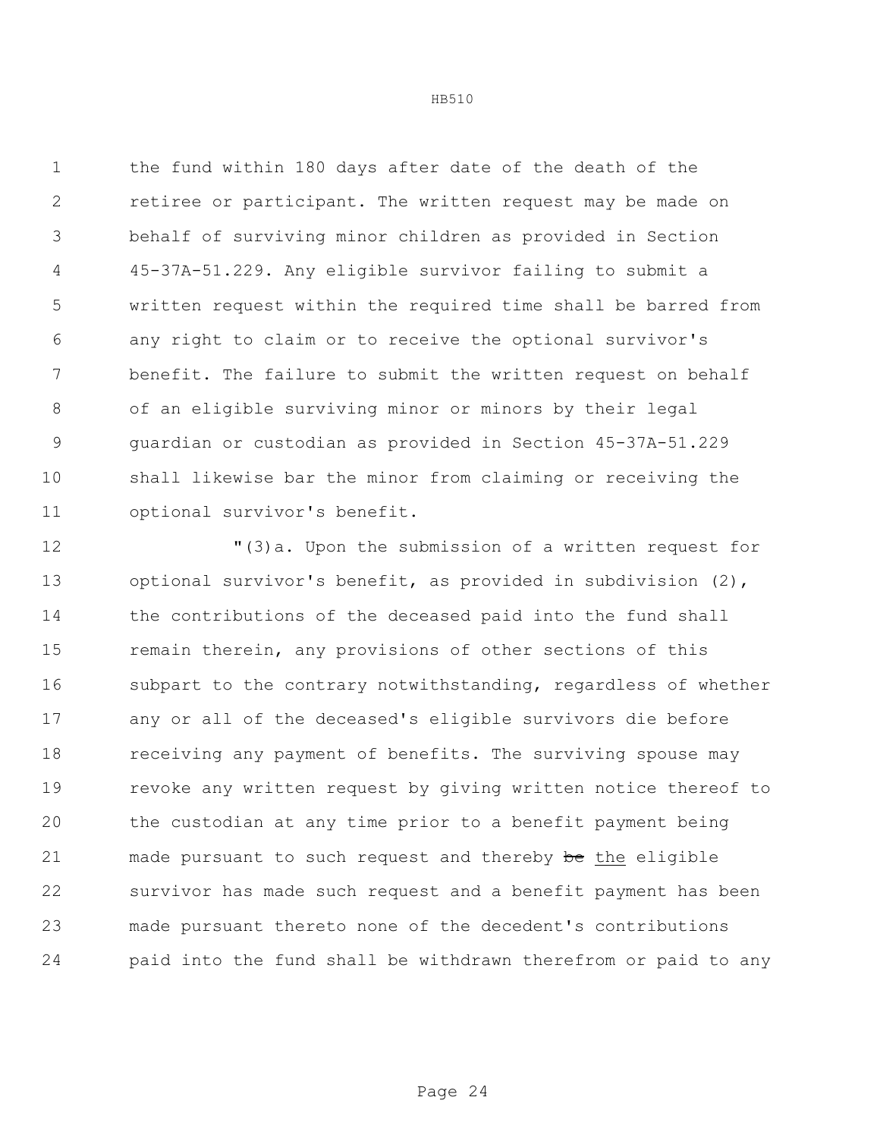the fund within 180 days after date of the death of the retiree or participant. The written request may be made on behalf of surviving minor children as provided in Section 45-37A-51.229. Any eligible survivor failing to submit a written request within the required time shall be barred from any right to claim or to receive the optional survivor's benefit. The failure to submit the written request on behalf of an eligible surviving minor or minors by their legal guardian or custodian as provided in Section 45-37A-51.229 shall likewise bar the minor from claiming or receiving the optional survivor's benefit.

 "(3)a. Upon the submission of a written request for optional survivor's benefit, as provided in subdivision (2), the contributions of the deceased paid into the fund shall 15 remain therein, any provisions of other sections of this subpart to the contrary notwithstanding, regardless of whether any or all of the deceased's eligible survivors die before 18 receiving any payment of benefits. The surviving spouse may revoke any written request by giving written notice thereof to the custodian at any time prior to a benefit payment being 21 made pursuant to such request and thereby be the eligible survivor has made such request and a benefit payment has been made pursuant thereto none of the decedent's contributions paid into the fund shall be withdrawn therefrom or paid to any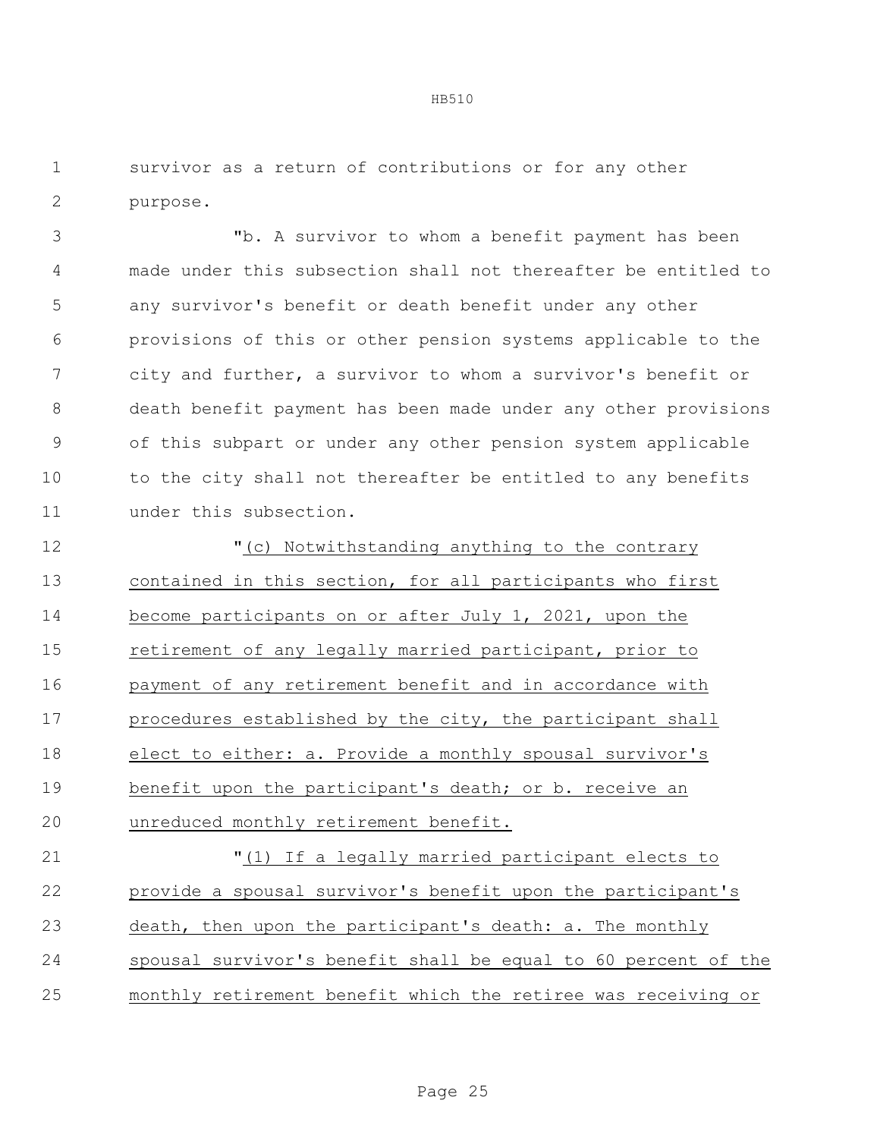survivor as a return of contributions or for any other purpose.

 "b. A survivor to whom a benefit payment has been made under this subsection shall not thereafter be entitled to any survivor's benefit or death benefit under any other provisions of this or other pension systems applicable to the city and further, a survivor to whom a survivor's benefit or death benefit payment has been made under any other provisions of this subpart or under any other pension system applicable 10 to the city shall not thereafter be entitled to any benefits under this subsection.

 "(c) Notwithstanding anything to the contrary contained in this section, for all participants who first become participants on or after July 1, 2021, upon the retirement of any legally married participant, prior to payment of any retirement benefit and in accordance with procedures established by the city, the participant shall elect to either: a. Provide a monthly spousal survivor's benefit upon the participant's death; or b. receive an unreduced monthly retirement benefit.

 "(1) If a legally married participant elects to provide a spousal survivor's benefit upon the participant's death, then upon the participant's death: a. The monthly spousal survivor's benefit shall be equal to 60 percent of the monthly retirement benefit which the retiree was receiving or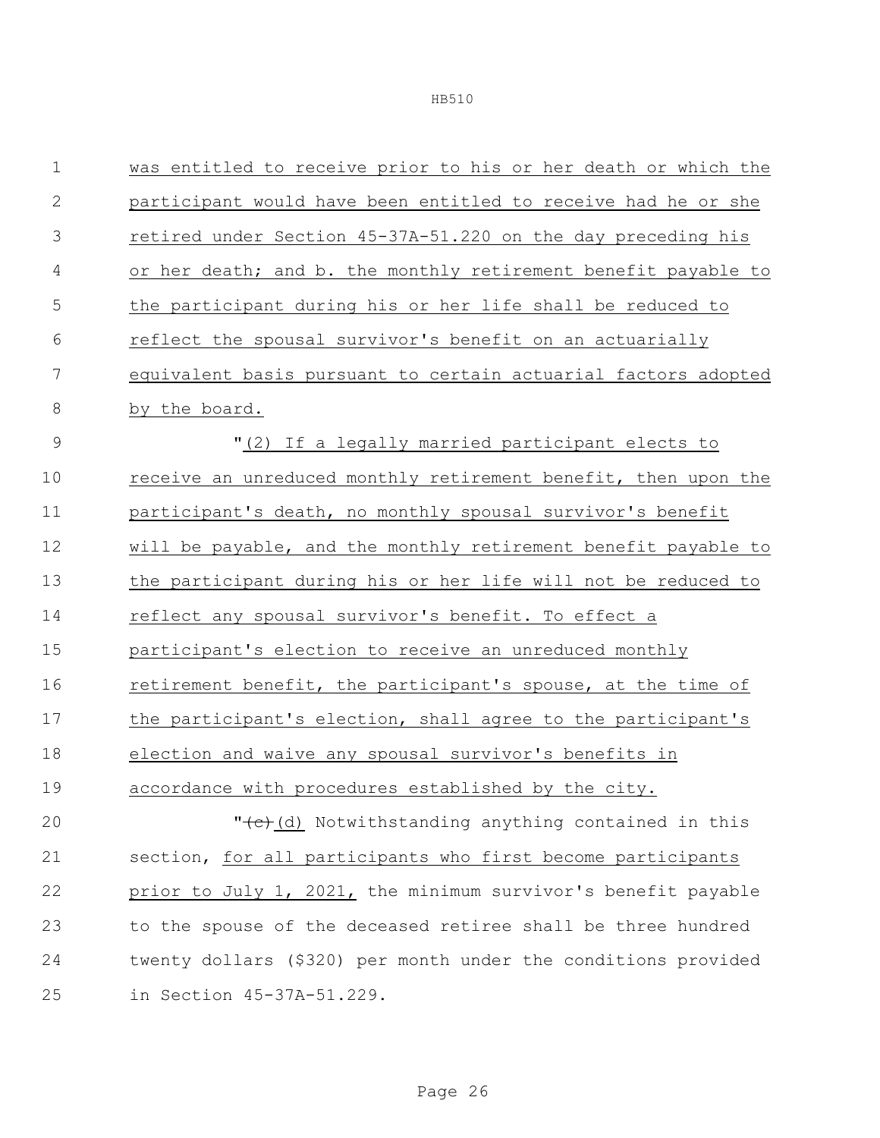| $\mathbf 1$  | was entitled to receive prior to his or her death or which the |  |  |
|--------------|----------------------------------------------------------------|--|--|
| $\mathbf{2}$ | participant would have been entitled to receive had he or she  |  |  |
| 3            | retired under Section 45-37A-51.220 on the day preceding his   |  |  |
| 4            | or her death; and b. the monthly retirement benefit payable to |  |  |
| 5            | the participant during his or her life shall be reduced to     |  |  |
| 6            | reflect the spousal survivor's benefit on an actuarially       |  |  |
| 7            | equivalent basis pursuant to certain actuarial factors adopted |  |  |
| 8            | by the board.                                                  |  |  |
| 9            | "(2) If a legally married participant elects to                |  |  |
| 10           | receive an unreduced monthly retirement benefit, then upon the |  |  |
| 11           | participant's death, no monthly spousal survivor's benefit     |  |  |
| 12           | will be payable, and the monthly retirement benefit payable to |  |  |
| 13           | the participant during his or her life will not be reduced to  |  |  |
| 14           | reflect any spousal survivor's benefit. To effect a            |  |  |
| 15           | participant's election to receive an unreduced monthly         |  |  |
| 16           | retirement benefit, the participant's spouse, at the time of   |  |  |
| 17           | the participant's election, shall agree to the participant's   |  |  |
| 18           | election and waive any spousal survivor's benefits in          |  |  |
| 19           | accordance with procedures established by the city.            |  |  |
| 20           | "(c) (d) Notwithstanding anything contained in this            |  |  |
| 21           | section, for all participants who first become participants    |  |  |
| 22           | prior to July 1, 2021, the minimum survivor's benefit payable  |  |  |
| 23           | to the spouse of the deceased retiree shall be three hundred   |  |  |
| 24           | twenty dollars (\$320) per month under the conditions provided |  |  |
| 25           | in Section 45-37A-51.229.                                      |  |  |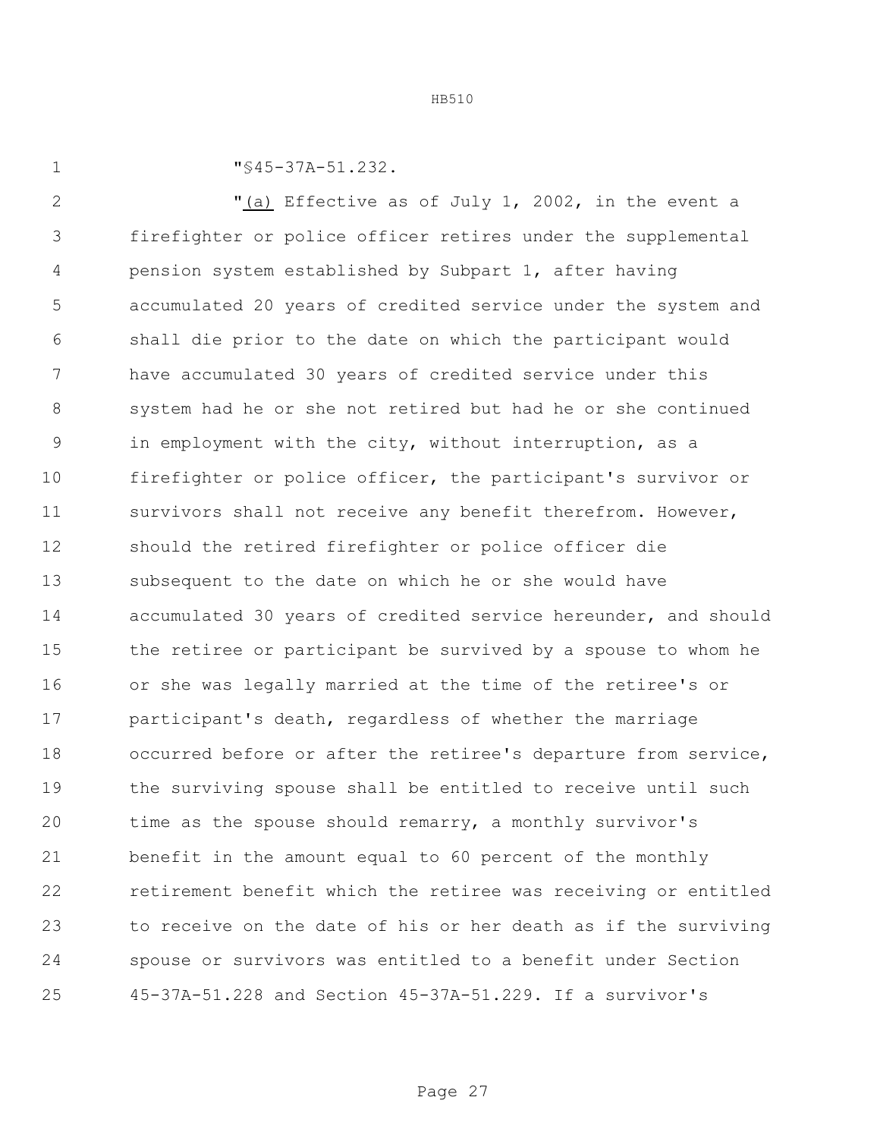1  $\sqrt{945-37A-51.232}$ .

2 The Territor of July 1, 2002, in the event a firefighter or police officer retires under the supplemental pension system established by Subpart 1, after having accumulated 20 years of credited service under the system and shall die prior to the date on which the participant would have accumulated 30 years of credited service under this system had he or she not retired but had he or she continued in employment with the city, without interruption, as a firefighter or police officer, the participant's survivor or survivors shall not receive any benefit therefrom. However, should the retired firefighter or police officer die subsequent to the date on which he or she would have accumulated 30 years of credited service hereunder, and should the retiree or participant be survived by a spouse to whom he or she was legally married at the time of the retiree's or participant's death, regardless of whether the marriage occurred before or after the retiree's departure from service, the surviving spouse shall be entitled to receive until such time as the spouse should remarry, a monthly survivor's benefit in the amount equal to 60 percent of the monthly retirement benefit which the retiree was receiving or entitled to receive on the date of his or her death as if the surviving spouse or survivors was entitled to a benefit under Section 45-37A-51.228 and Section 45-37A-51.229. If a survivor's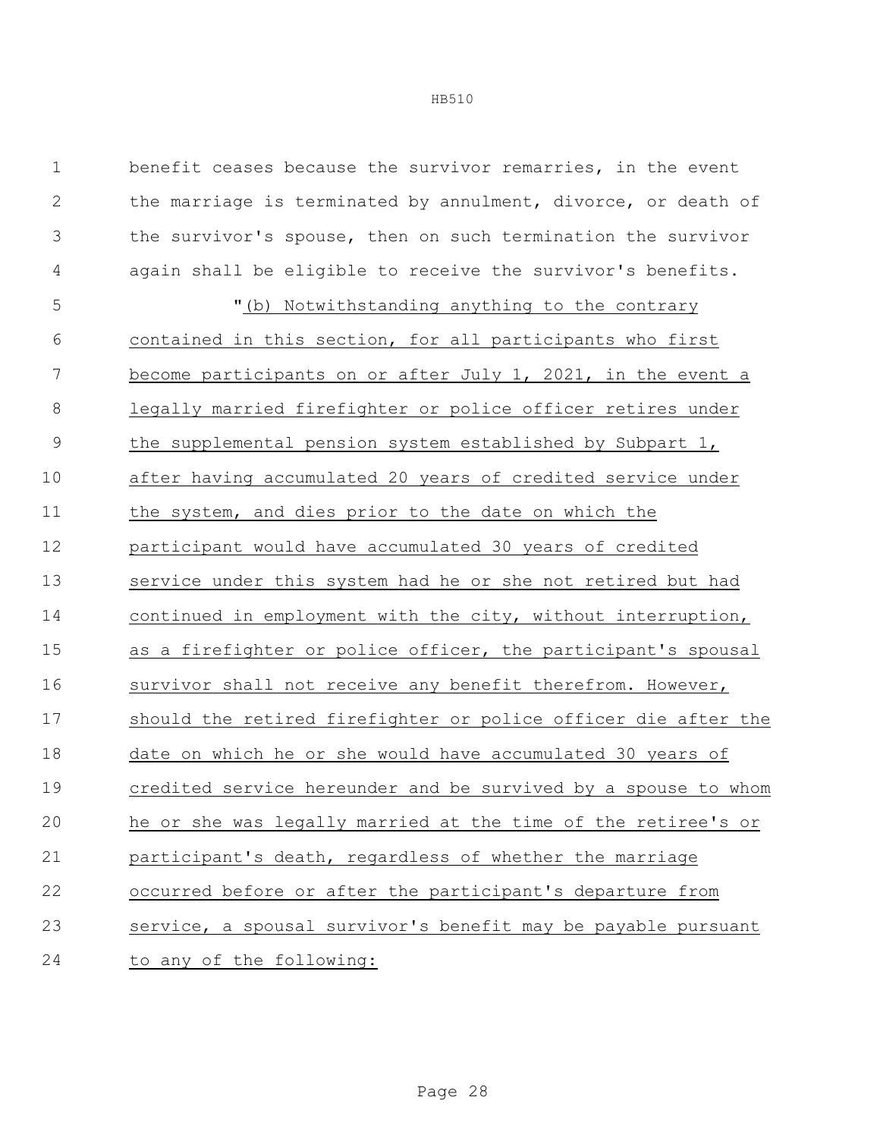| $\mathbf 1$   | benefit ceases because the survivor remarries, in the event    |
|---------------|----------------------------------------------------------------|
| $\mathbf{2}$  | the marriage is terminated by annulment, divorce, or death of  |
| 3             | the survivor's spouse, then on such termination the survivor   |
| 4             | again shall be eligible to receive the survivor's benefits.    |
| 5             | "(b) Notwithstanding anything to the contrary                  |
| 6             | contained in this section, for all participants who first      |
| 7             | become participants on or after July 1, 2021, in the event a   |
| $\,8\,$       | legally married firefighter or police officer retires under    |
| $\mathcal{G}$ | the supplemental pension system established by Subpart 1,      |
| 10            | after having accumulated 20 years of credited service under    |
| 11            | the system, and dies prior to the date on which the            |
| 12            | participant would have accumulated 30 years of credited        |
| 13            | service under this system had he or she not retired but had    |
| 14            | continued in employment with the city, without interruption,   |
| 15            | as a firefighter or police officer, the participant's spousal  |
| 16            | survivor shall not receive any benefit therefrom. However,     |
| 17            | should the retired firefighter or police officer die after the |
| 18            | date on which he or she would have accumulated 30 years of     |
| 19            | credited service hereunder and be survived by a spouse to whom |
| 20            | he or she was legally married at the time of the retiree's or  |
| 21            | participant's death, regardless of whether the marriage        |
| 22            | occurred before or after the participant's departure from      |
| 23            | service, a spousal survivor's benefit may be payable pursuant  |
| 24            | to any of the following:                                       |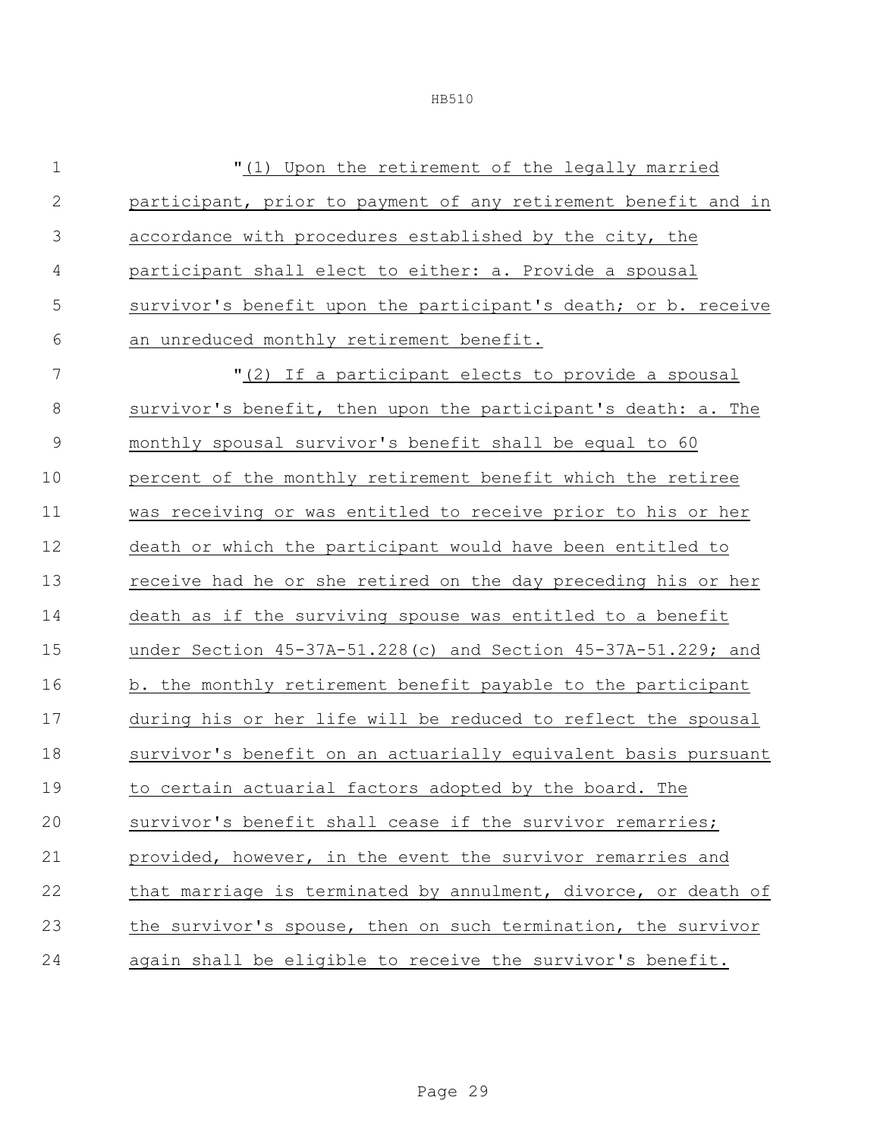"(1) Upon the retirement of the legally married participant, prior to payment of any retirement benefit and in accordance with procedures established by the city, the participant shall elect to either: a. Provide a spousal survivor's benefit upon the participant's death; or b. receive an unreduced monthly retirement benefit. "(2) If a participant elects to provide a spousal survivor's benefit, then upon the participant's death: a. The monthly spousal survivor's benefit shall be equal to 60 percent of the monthly retirement benefit which the retiree was receiving or was entitled to receive prior to his or her death or which the participant would have been entitled to receive had he or she retired on the day preceding his or her death as if the surviving spouse was entitled to a benefit under Section 45-37A-51.228(c) and Section 45-37A-51.229; and 16 b. the monthly retirement benefit payable to the participant during his or her life will be reduced to reflect the spousal survivor's benefit on an actuarially equivalent basis pursuant to certain actuarial factors adopted by the board. The survivor's benefit shall cease if the survivor remarries; provided, however, in the event the survivor remarries and that marriage is terminated by annulment, divorce, or death of the survivor's spouse, then on such termination, the survivor again shall be eligible to receive the survivor's benefit.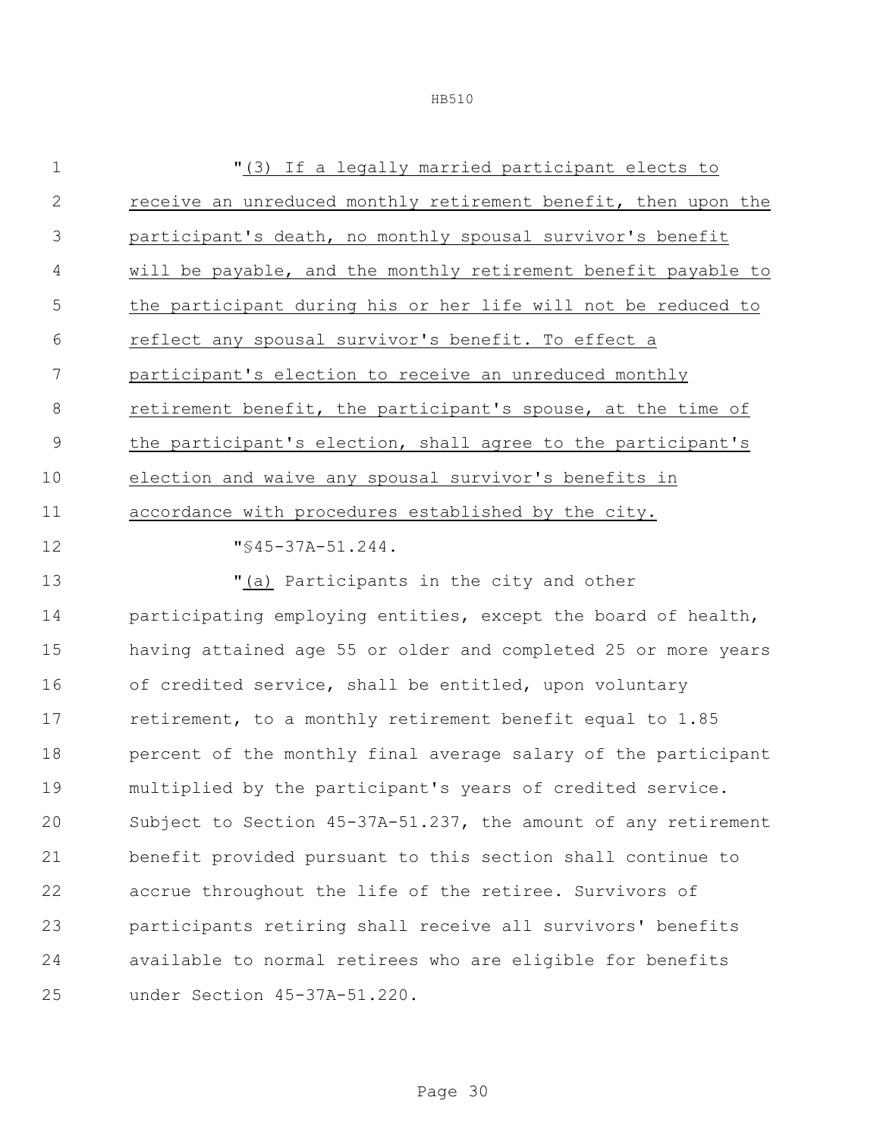| $\mathbf 1$  | "(3) If a legally married participant elects to                |
|--------------|----------------------------------------------------------------|
| $\mathbf{2}$ | receive an unreduced monthly retirement benefit, then upon the |
| 3            | participant's death, no monthly spousal survivor's benefit     |
| 4            | will be payable, and the monthly retirement benefit payable to |
| 5            | the participant during his or her life will not be reduced to  |
| 6            | reflect any spousal survivor's benefit. To effect a            |
| 7            | participant's election to receive an unreduced monthly         |
| 8            | retirement benefit, the participant's spouse, at the time of   |
| 9            | the participant's election, shall agree to the participant's   |
| 10           | election and waive any spousal survivor's benefits in          |
| 11           | accordance with procedures established by the city.            |
| 12           | $"$ \$45-37A-51.244.                                           |
| 13           | "(a) Participants in the city and other                        |
| 14           | participating employing entities, except the board of health,  |
| 15           | having attained age 55 or older and completed 25 or more years |
| 16           | of credited service, shall be entitled, upon voluntary         |
| 17           | retirement, to a monthly retirement benefit equal to 1.85      |
| 18           | percent of the monthly final average salary of the participant |

 multiplied by the participant's years of credited service. Subject to Section 45-37A-51.237, the amount of any retirement benefit provided pursuant to this section shall continue to accrue throughout the life of the retiree. Survivors of participants retiring shall receive all survivors' benefits available to normal retirees who are eligible for benefits under Section 45-37A-51.220.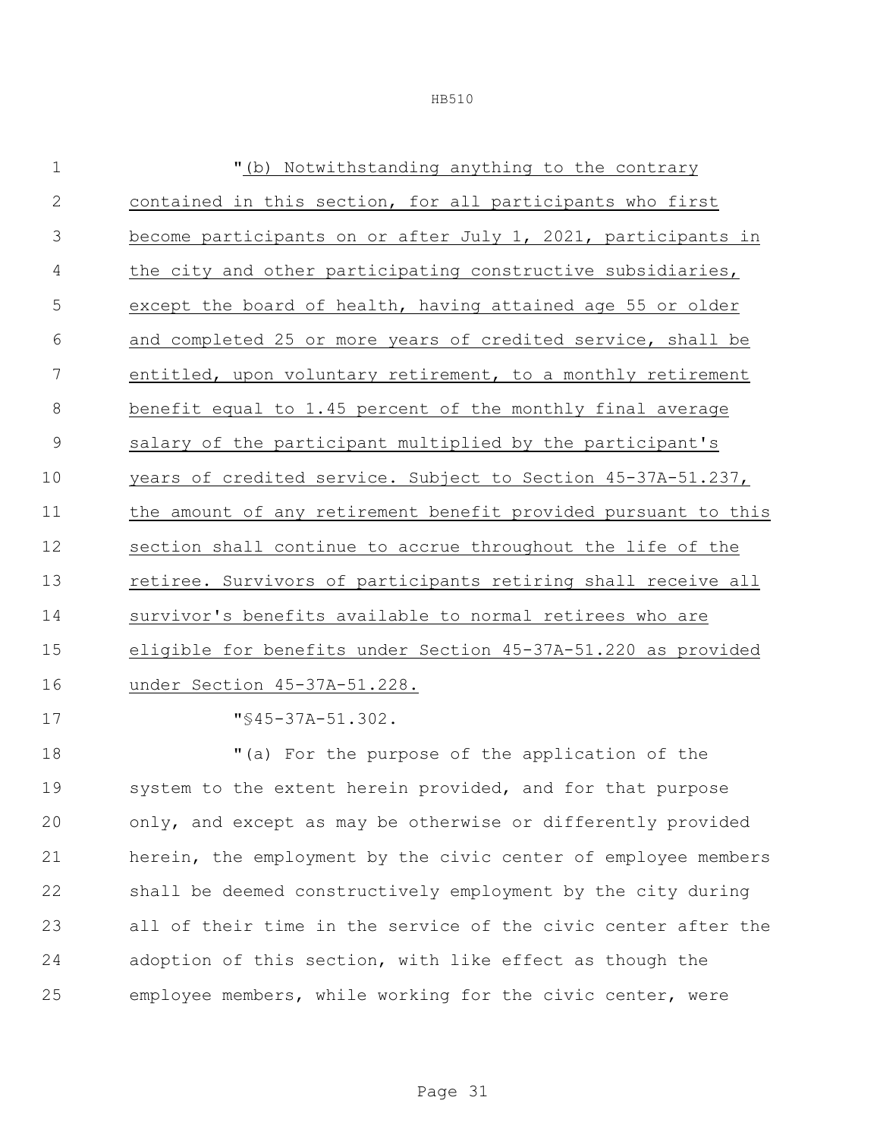| $\mathbf 1$    | "(b) Notwithstanding anything to the contrary                  |
|----------------|----------------------------------------------------------------|
| $\mathbf{2}$   | contained in this section, for all participants who first      |
| 3              | become participants on or after July 1, 2021, participants in  |
| 4              | the city and other participating constructive subsidiaries,    |
| 5              | except the board of health, having attained age 55 or older    |
| 6              | and completed 25 or more years of credited service, shall be   |
| $\overline{7}$ | entitled, upon voluntary retirement, to a monthly retirement   |
| 8              | benefit equal to 1.45 percent of the monthly final average     |
| 9              | salary of the participant multiplied by the participant's      |
| 10             | years of credited service. Subject to Section 45-37A-51.237,   |
| 11             | the amount of any retirement benefit provided pursuant to this |
| 12             | section shall continue to accrue throughout the life of the    |
| 13             | retiree. Survivors of participants retiring shall receive all  |
| 14             | survivor's benefits available to normal retirees who are       |
| 15             | eligible for benefits under Section 45-37A-51.220 as provided  |
| 16             | under Section 45-37A-51.228.                                   |
| 17             | $\sqrt{845-37A-51.302}$ .                                      |
|                |                                                                |

 "(a) For the purpose of the application of the 19 system to the extent herein provided, and for that purpose only, and except as may be otherwise or differently provided herein, the employment by the civic center of employee members shall be deemed constructively employment by the city during all of their time in the service of the civic center after the adoption of this section, with like effect as though the employee members, while working for the civic center, were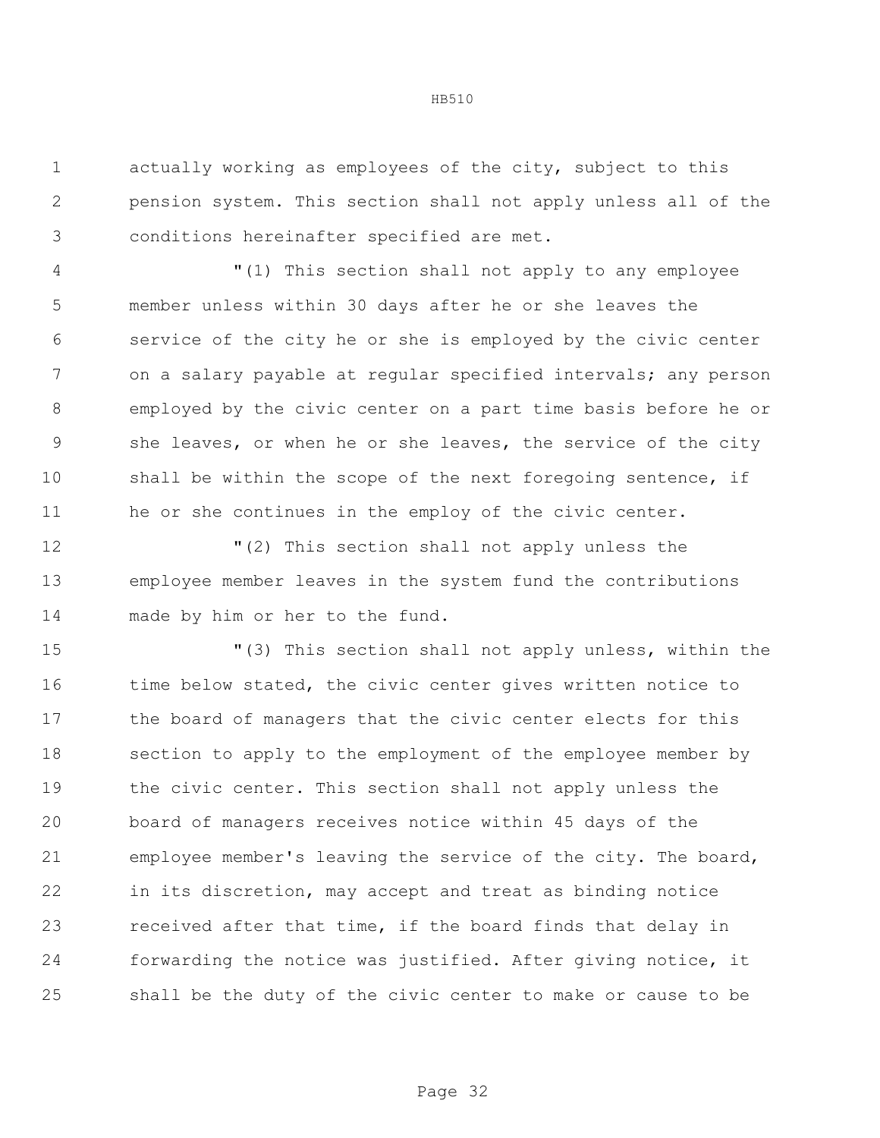actually working as employees of the city, subject to this pension system. This section shall not apply unless all of the conditions hereinafter specified are met.

 "(1) This section shall not apply to any employee member unless within 30 days after he or she leaves the service of the city he or she is employed by the civic center on a salary payable at regular specified intervals; any person employed by the civic center on a part time basis before he or she leaves, or when he or she leaves, the service of the city 10 shall be within the scope of the next foregoing sentence, if he or she continues in the employ of the civic center.

 "(2) This section shall not apply unless the employee member leaves in the system fund the contributions made by him or her to the fund.

 "(3) This section shall not apply unless, within the 16 time below stated, the civic center gives written notice to the board of managers that the civic center elects for this section to apply to the employment of the employee member by the civic center. This section shall not apply unless the board of managers receives notice within 45 days of the employee member's leaving the service of the city. The board, in its discretion, may accept and treat as binding notice received after that time, if the board finds that delay in forwarding the notice was justified. After giving notice, it shall be the duty of the civic center to make or cause to be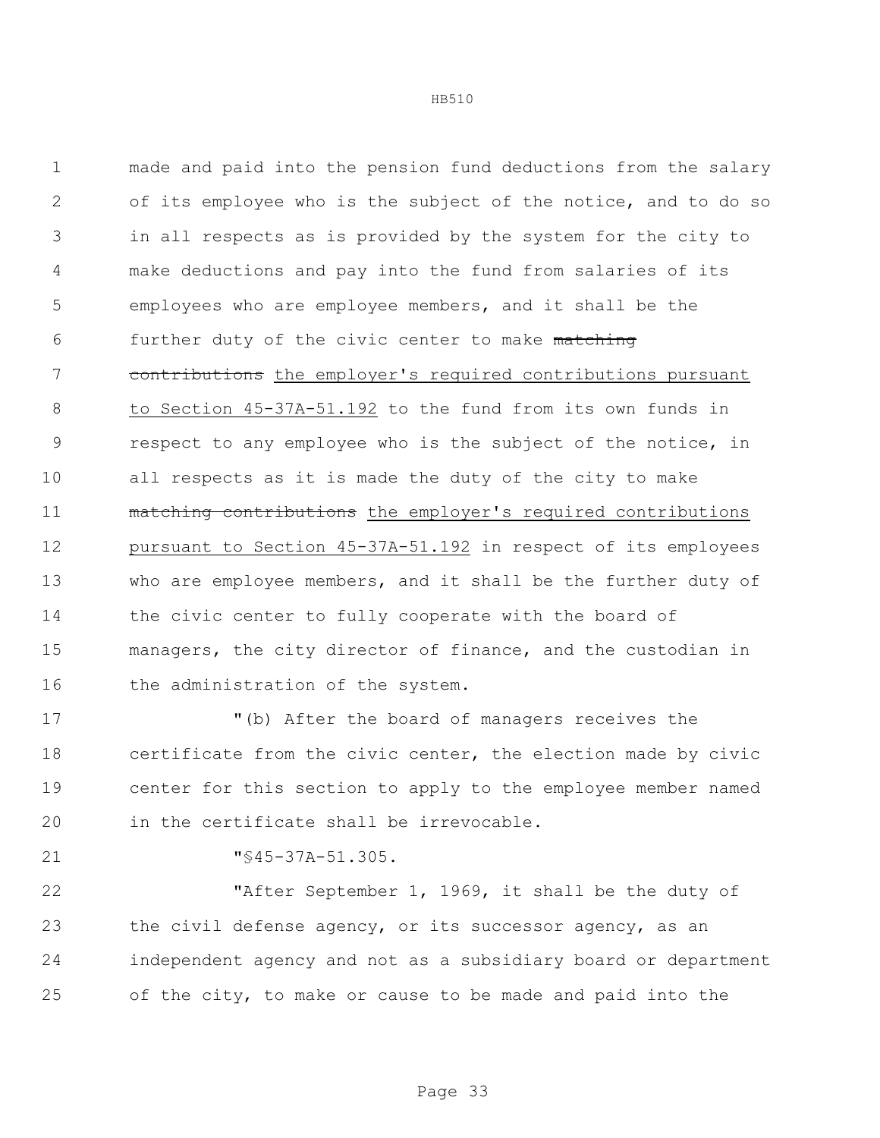made and paid into the pension fund deductions from the salary of its employee who is the subject of the notice, and to do so in all respects as is provided by the system for the city to make deductions and pay into the fund from salaries of its employees who are employee members, and it shall be the 6 further duty of the civic center to make matching 7 contributions the employer's required contributions pursuant to Section 45-37A-51.192 to the fund from its own funds in respect to any employee who is the subject of the notice, in all respects as it is made the duty of the city to make matching contributions the employer's required contributions pursuant to Section 45-37A-51.192 in respect of its employees who are employee members, and it shall be the further duty of 14 the civic center to fully cooperate with the board of managers, the city director of finance, and the custodian in 16 the administration of the system.

 "(b) After the board of managers receives the certificate from the civic center, the election made by civic center for this section to apply to the employee member named in the certificate shall be irrevocable.

"§45-37A-51.305.

 "After September 1, 1969, it shall be the duty of 23 the civil defense agency, or its successor agency, as an independent agency and not as a subsidiary board or department of the city, to make or cause to be made and paid into the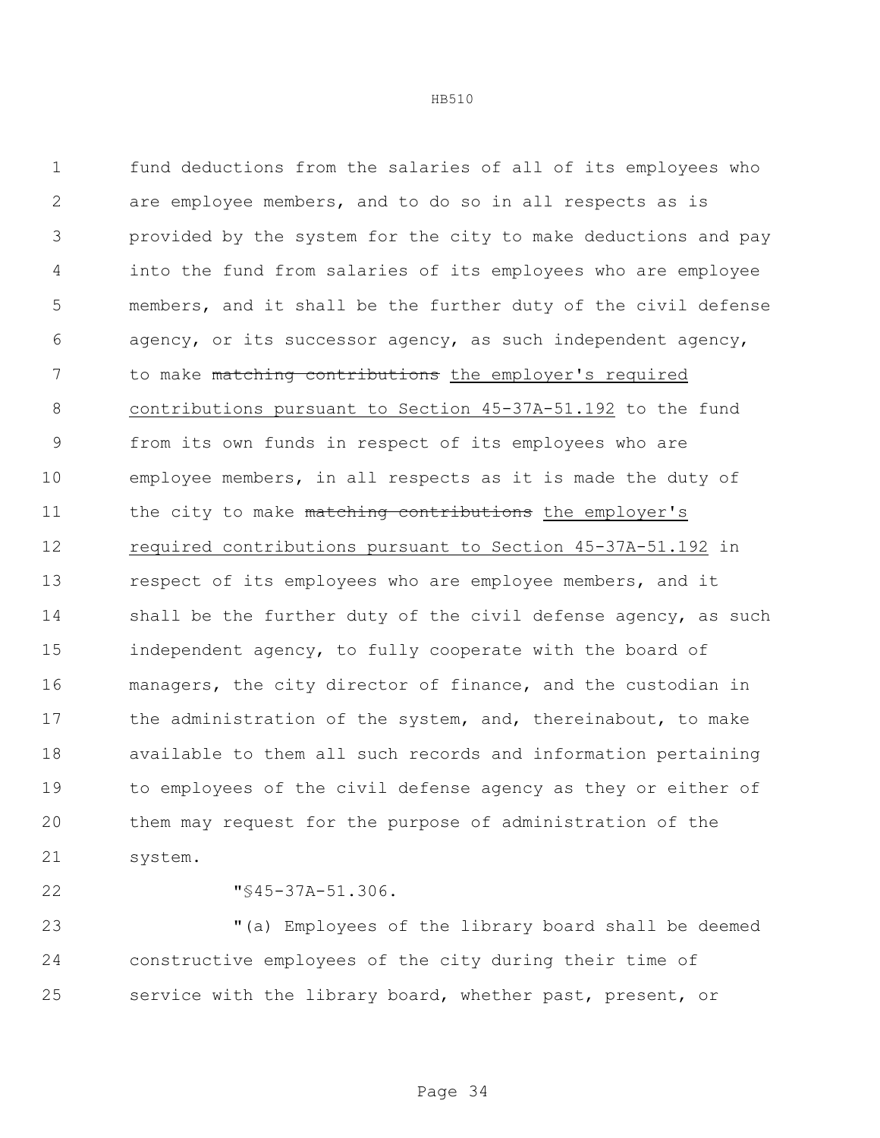fund deductions from the salaries of all of its employees who are employee members, and to do so in all respects as is provided by the system for the city to make deductions and pay into the fund from salaries of its employees who are employee members, and it shall be the further duty of the civil defense agency, or its successor agency, as such independent agency, 7 to make matching contributions the employer's required contributions pursuant to Section 45-37A-51.192 to the fund from its own funds in respect of its employees who are employee members, in all respects as it is made the duty of 11 the city to make matching contributions the employer's required contributions pursuant to Section 45-37A-51.192 in respect of its employees who are employee members, and it 14 shall be the further duty of the civil defense agency, as such independent agency, to fully cooperate with the board of managers, the city director of finance, and the custodian in 17 the administration of the system, and, thereinabout, to make available to them all such records and information pertaining to employees of the civil defense agency as they or either of them may request for the purpose of administration of the system.

"§45-37A-51.306.

 "(a) Employees of the library board shall be deemed constructive employees of the city during their time of service with the library board, whether past, present, or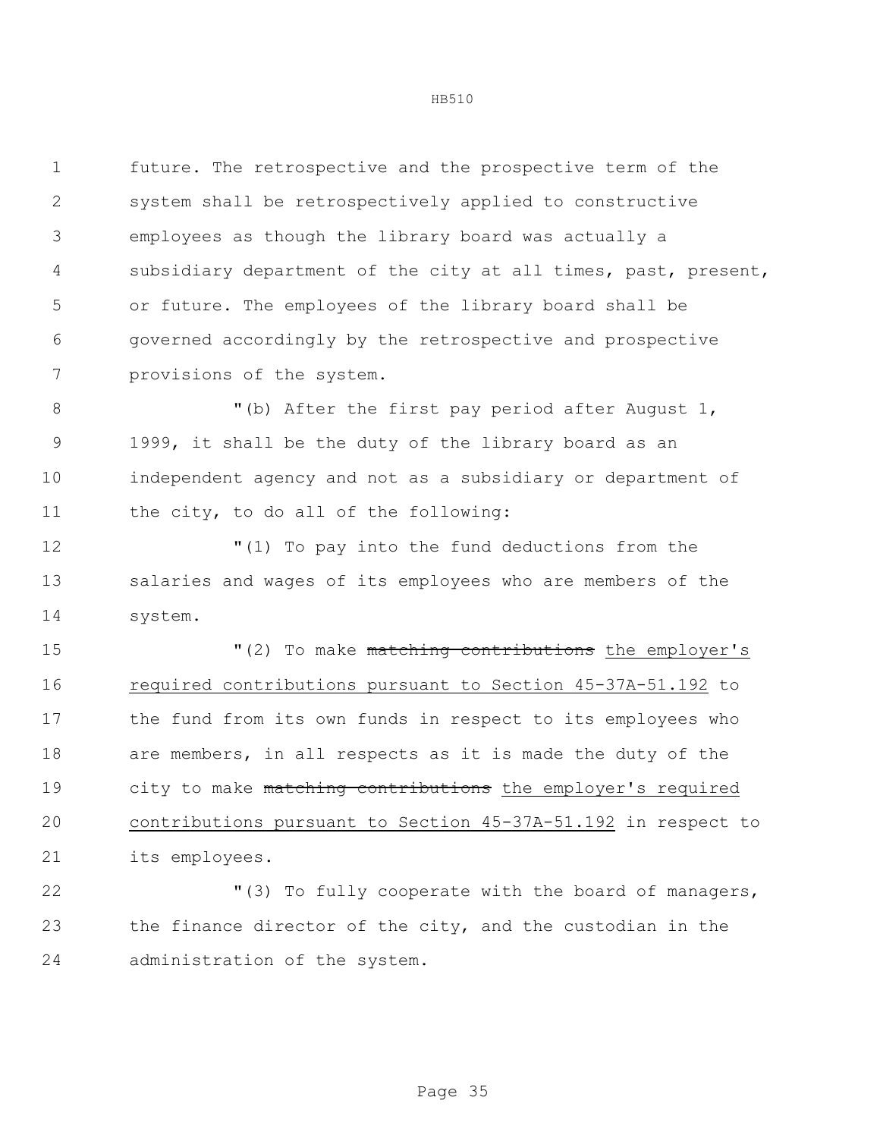future. The retrospective and the prospective term of the system shall be retrospectively applied to constructive employees as though the library board was actually a subsidiary department of the city at all times, past, present, or future. The employees of the library board shall be governed accordingly by the retrospective and prospective provisions of the system.

8 "(b) After the first pay period after August 1, 1999, it shall be the duty of the library board as an independent agency and not as a subsidiary or department of the city, to do all of the following:

 "(1) To pay into the fund deductions from the salaries and wages of its employees who are members of the system.

15 The M<sub>1</sub> (2) To make matching contributions the employer's 16 required contributions pursuant to Section 45-37A-51.192 to the fund from its own funds in respect to its employees who are members, in all respects as it is made the duty of the 19 city to make matching contributions the employer's required contributions pursuant to Section 45-37A-51.192 in respect to its employees.

 "(3) To fully cooperate with the board of managers, the finance director of the city, and the custodian in the administration of the system.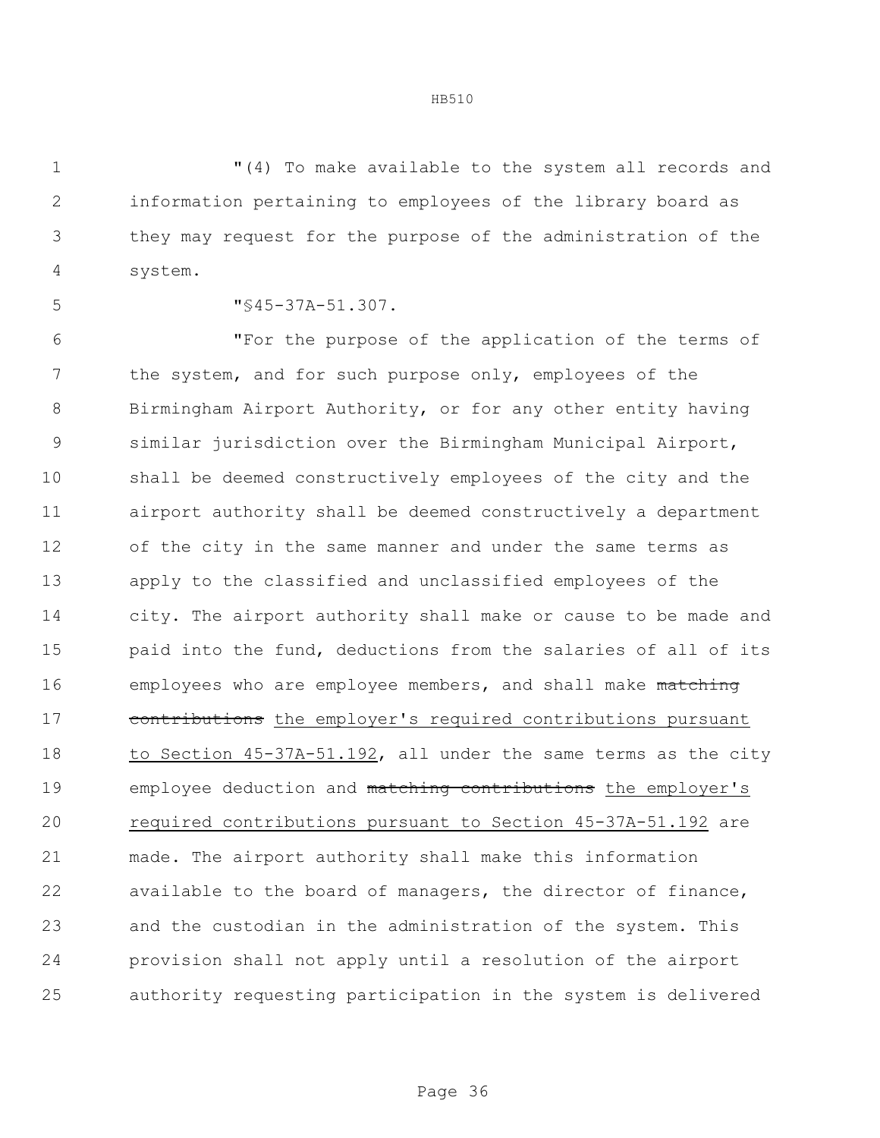"(4) To make available to the system all records and information pertaining to employees of the library board as they may request for the purpose of the administration of the system.

"§45-37A-51.307.

 "For the purpose of the application of the terms of the system, and for such purpose only, employees of the Birmingham Airport Authority, or for any other entity having similar jurisdiction over the Birmingham Municipal Airport, shall be deemed constructively employees of the city and the airport authority shall be deemed constructively a department of the city in the same manner and under the same terms as apply to the classified and unclassified employees of the city. The airport authority shall make or cause to be made and paid into the fund, deductions from the salaries of all of its 16 employees who are employee members, and shall make matching 17 contributions the employer's required contributions pursuant to Section 45-37A-51.192, all under the same terms as the city 19 employee deduction and matching contributions the employer's required contributions pursuant to Section 45-37A-51.192 are made. The airport authority shall make this information available to the board of managers, the director of finance, and the custodian in the administration of the system. This provision shall not apply until a resolution of the airport authority requesting participation in the system is delivered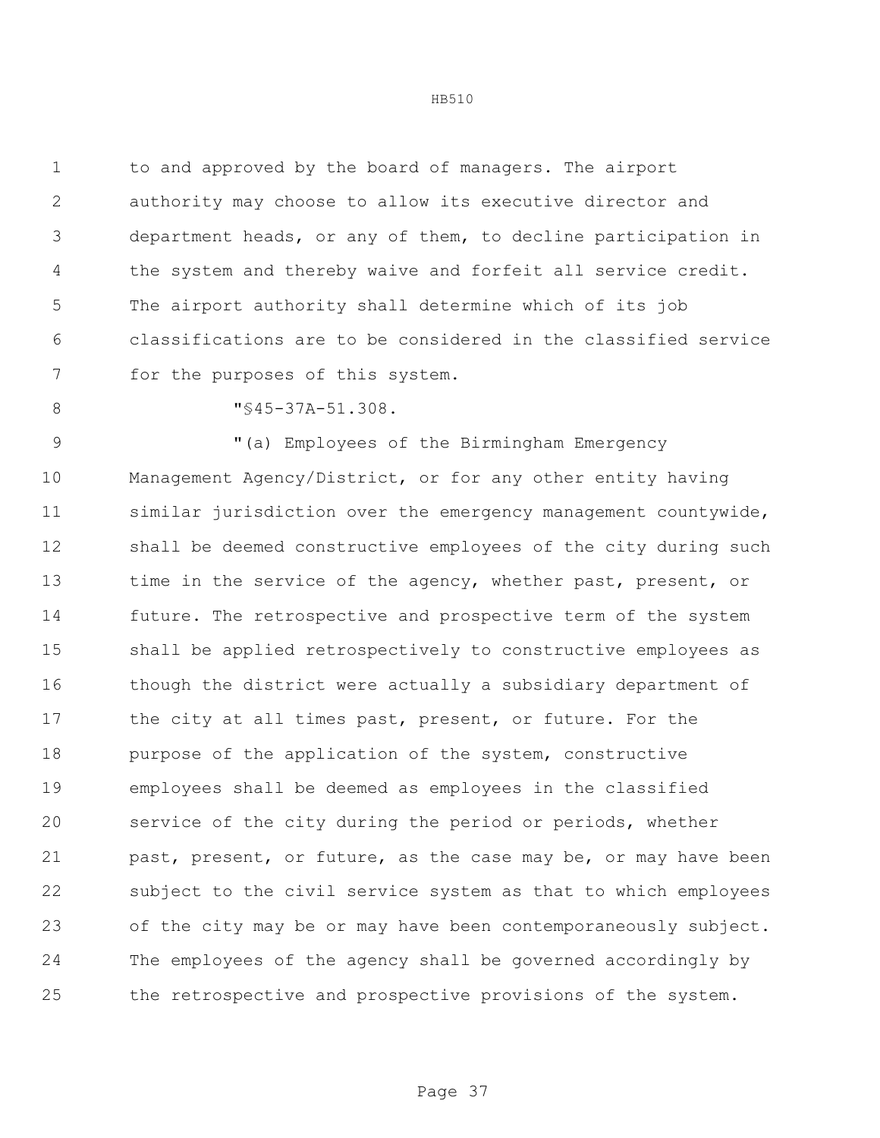to and approved by the board of managers. The airport authority may choose to allow its executive director and department heads, or any of them, to decline participation in the system and thereby waive and forfeit all service credit. The airport authority shall determine which of its job classifications are to be considered in the classified service for the purposes of this system.

8 "§45-37A-51.308.

9 "(a) Employees of the Birmingham Emergency Management Agency/District, or for any other entity having similar jurisdiction over the emergency management countywide, shall be deemed constructive employees of the city during such 13 time in the service of the agency, whether past, present, or future. The retrospective and prospective term of the system shall be applied retrospectively to constructive employees as though the district were actually a subsidiary department of 17 the city at all times past, present, or future. For the purpose of the application of the system, constructive employees shall be deemed as employees in the classified service of the city during the period or periods, whether 21 past, present, or future, as the case may be, or may have been subject to the civil service system as that to which employees of the city may be or may have been contemporaneously subject. The employees of the agency shall be governed accordingly by the retrospective and prospective provisions of the system.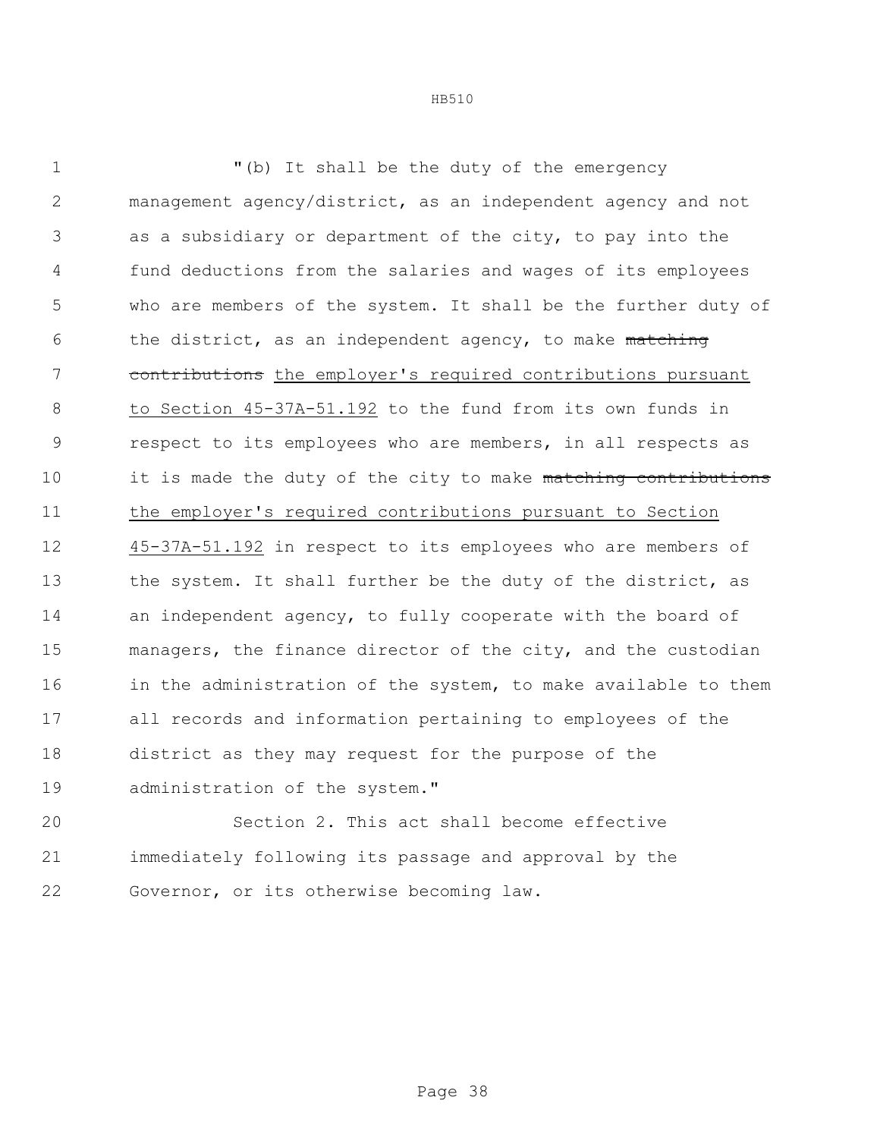| 1              | "(b) It shall be the duty of the emergency                     |
|----------------|----------------------------------------------------------------|
| $\mathbf{2}$   | management agency/district, as an independent agency and not   |
| 3              | as a subsidiary or department of the city, to pay into the     |
| $\overline{4}$ | fund deductions from the salaries and wages of its employees   |
| 5              | who are members of the system. It shall be the further duty of |
| 6              | the district, as an independent agency, to make matching       |
| 7              | contributions the employer's required contributions pursuant   |
| 8              | to Section 45-37A-51.192 to the fund from its own funds in     |
| $\mathcal{G}$  | respect to its employees who are members, in all respects as   |
| 10             | it is made the duty of the city to make matching contributions |
| 11             | the employer's required contributions pursuant to Section      |
| 12             | 45-37A-51.192 in respect to its employees who are members of   |
| 13             | the system. It shall further be the duty of the district, as   |
| 14             | an independent agency, to fully cooperate with the board of    |
| 15             | managers, the finance director of the city, and the custodian  |
| 16             | in the administration of the system, to make available to them |
| 17             | all records and information pertaining to employees of the     |
| 18             | district as they may request for the purpose of the            |
| 19             | administration of the system."                                 |
|                |                                                                |

 Section 2. This act shall become effective immediately following its passage and approval by the Governor, or its otherwise becoming law.